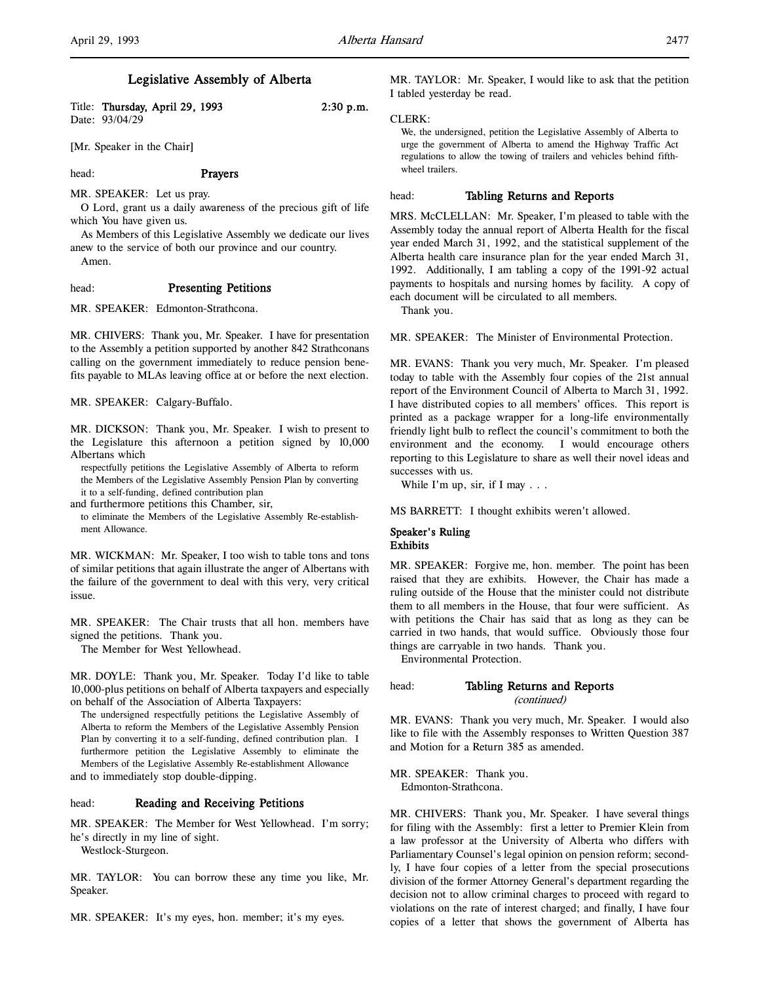## Legislative Assembly of Alberta

Title: Thursday, April 29, 1993 2:30 p.m. Date: 93/04/29

[Mr. Speaker in the Chair]

head: Prayers

MR. SPEAKER: Let us pray.

O Lord, grant us a daily awareness of the precious gift of life which You have given us.

As Members of this Legislative Assembly we dedicate our lives anew to the service of both our province and our country. Amen.

head: Presenting Petitions

MR. SPEAKER: Edmonton-Strathcona.

MR. CHIVERS: Thank you, Mr. Speaker. I have for presentation to the Assembly a petition supported by another 842 Strathconans calling on the government immediately to reduce pension benefits payable to MLAs leaving office at or before the next election.

MR. SPEAKER: Calgary-Buffalo.

MR. DICKSON: Thank you, Mr. Speaker. I wish to present to the Legislature this afternoon a petition signed by 10,000 Albertans which

respectfully petitions the Legislative Assembly of Alberta to reform the Members of the Legislative Assembly Pension Plan by converting it to a self-funding, defined contribution plan

and furthermore petitions this Chamber, sir,

to eliminate the Members of the Legislative Assembly Re-establishment Allowance.

MR. WICKMAN: Mr. Speaker, I too wish to table tons and tons of similar petitions that again illustrate the anger of Albertans with the failure of the government to deal with this very, very critical issue.

MR. SPEAKER: The Chair trusts that all hon. members have signed the petitions. Thank you.

The Member for West Yellowhead.

MR. DOYLE: Thank you, Mr. Speaker. Today I'd like to table 10,000-plus petitions on behalf of Alberta taxpayers and especially on behalf of the Association of Alberta Taxpayers:

The undersigned respectfully petitions the Legislative Assembly of Alberta to reform the Members of the Legislative Assembly Pension Plan by converting it to a self-funding, defined contribution plan. I furthermore petition the Legislative Assembly to eliminate the Members of the Legislative Assembly Re-establishment Allowance and to immediately stop double-dipping.

#### head: **Reading and Receiving Petitions**

MR. SPEAKER: The Member for West Yellowhead. I'm sorry; he's directly in my line of sight.

Westlock-Sturgeon.

MR. TAYLOR: You can borrow these any time you like, Mr. Speaker.

MR. SPEAKER: It's my eyes, hon. member; it's my eyes.

MR. TAYLOR: Mr. Speaker, I would like to ask that the petition I tabled yesterday be read.

#### CLERK:

We, the undersigned, petition the Legislative Assembly of Alberta to urge the government of Alberta to amend the Highway Traffic Act regulations to allow the towing of trailers and vehicles behind fifthwheel trailers.

#### head: Tabling Returns and Reports

MRS. McCLELLAN: Mr. Speaker, I'm pleased to table with the Assembly today the annual report of Alberta Health for the fiscal year ended March 31, 1992, and the statistical supplement of the Alberta health care insurance plan for the year ended March 31, 1992. Additionally, I am tabling a copy of the 1991-92 actual payments to hospitals and nursing homes by facility. A copy of each document will be circulated to all members.

Thank you.

MR. SPEAKER: The Minister of Environmental Protection.

MR. EVANS: Thank you very much, Mr. Speaker. I'm pleased today to table with the Assembly four copies of the 21st annual report of the Environment Council of Alberta to March 31, 1992. I have distributed copies to all members' offices. This report is printed as a package wrapper for a long-life environmentally friendly light bulb to reflect the council's commitment to both the environment and the economy. I would encourage others reporting to this Legislature to share as well their novel ideas and successes with us.

While I'm up, sir, if I may . . .

MS BARRETT: I thought exhibits weren't allowed.

## Speaker's Ruling Exhibits

MR. SPEAKER: Forgive me, hon. member. The point has been raised that they are exhibits. However, the Chair has made a ruling outside of the House that the minister could not distribute them to all members in the House, that four were sufficient. As with petitions the Chair has said that as long as they can be carried in two hands, that would suffice. Obviously those four things are carryable in two hands. Thank you.

Environmental Protection.

# head: Tabling Returns and Reports

(continued)

MR. EVANS: Thank you very much, Mr. Speaker. I would also like to file with the Assembly responses to Written Question 387 and Motion for a Return 385 as amended.

MR. SPEAKER: Thank you. Edmonton-Strathcona.

MR. CHIVERS: Thank you, Mr. Speaker. I have several things for filing with the Assembly: first a letter to Premier Klein from a law professor at the University of Alberta who differs with Parliamentary Counsel's legal opinion on pension reform; secondly, I have four copies of a letter from the special prosecutions division of the former Attorney General's department regarding the decision not to allow criminal charges to proceed with regard to violations on the rate of interest charged; and finally, I have four copies of a letter that shows the government of Alberta has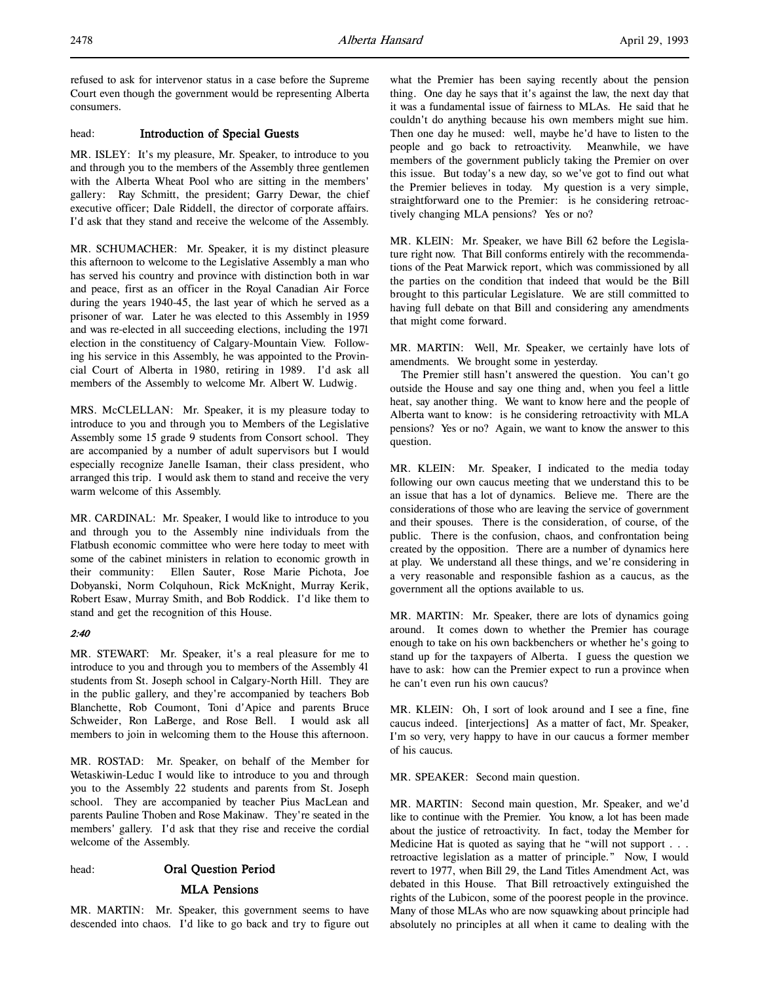refused to ask for intervenor status in a case before the Supreme Court even though the government would be representing Alberta consumers.

### head: Introduction of Special Guests

MR. ISLEY: It's my pleasure, Mr. Speaker, to introduce to you and through you to the members of the Assembly three gentlemen with the Alberta Wheat Pool who are sitting in the members' gallery: Ray Schmitt, the president; Garry Dewar, the chief executive officer; Dale Riddell, the director of corporate affairs. I'd ask that they stand and receive the welcome of the Assembly.

MR. SCHUMACHER: Mr. Speaker, it is my distinct pleasure this afternoon to welcome to the Legislative Assembly a man who has served his country and province with distinction both in war and peace, first as an officer in the Royal Canadian Air Force during the years 1940-45, the last year of which he served as a prisoner of war. Later he was elected to this Assembly in 1959 and was re-elected in all succeeding elections, including the 1971 election in the constituency of Calgary-Mountain View. Following his service in this Assembly, he was appointed to the Provincial Court of Alberta in 1980, retiring in 1989. I'd ask all members of the Assembly to welcome Mr. Albert W. Ludwig.

MRS. McCLELLAN: Mr. Speaker, it is my pleasure today to introduce to you and through you to Members of the Legislative Assembly some 15 grade 9 students from Consort school. They are accompanied by a number of adult supervisors but I would especially recognize Janelle Isaman, their class president, who arranged this trip. I would ask them to stand and receive the very warm welcome of this Assembly.

MR. CARDINAL: Mr. Speaker, I would like to introduce to you and through you to the Assembly nine individuals from the Flatbush economic committee who were here today to meet with some of the cabinet ministers in relation to economic growth in their community: Ellen Sauter, Rose Marie Pichota, Joe Dobyanski, Norm Colquhoun, Rick McKnight, Murray Kerik, Robert Esaw, Murray Smith, and Bob Roddick. I'd like them to stand and get the recognition of this House.

## 2:40

MR. STEWART: Mr. Speaker, it's a real pleasure for me to introduce to you and through you to members of the Assembly 41 students from St. Joseph school in Calgary-North Hill. They are in the public gallery, and they're accompanied by teachers Bob Blanchette, Rob Coumont, Toni d'Apice and parents Bruce Schweider, Ron LaBerge, and Rose Bell. I would ask all members to join in welcoming them to the House this afternoon.

MR. ROSTAD: Mr. Speaker, on behalf of the Member for Wetaskiwin-Leduc I would like to introduce to you and through you to the Assembly 22 students and parents from St. Joseph school. They are accompanied by teacher Pius MacLean and parents Pauline Thoben and Rose Makinaw. They're seated in the members' gallery. I'd ask that they rise and receive the cordial welcome of the Assembly.

#### head: Oral Question Period

## MLA Pensions

MR. MARTIN: Mr. Speaker, this government seems to have descended into chaos. I'd like to go back and try to figure out what the Premier has been saying recently about the pension thing. One day he says that it's against the law, the next day that it was a fundamental issue of fairness to MLAs. He said that he couldn't do anything because his own members might sue him. Then one day he mused: well, maybe he'd have to listen to the people and go back to retroactivity. Meanwhile, we have members of the government publicly taking the Premier on over this issue. But today's a new day, so we've got to find out what the Premier believes in today. My question is a very simple, straightforward one to the Premier: is he considering retroactively changing MLA pensions? Yes or no?

MR. KLEIN: Mr. Speaker, we have Bill 62 before the Legislature right now. That Bill conforms entirely with the recommendations of the Peat Marwick report, which was commissioned by all the parties on the condition that indeed that would be the Bill brought to this particular Legislature. We are still committed to having full debate on that Bill and considering any amendments that might come forward.

MR. MARTIN: Well, Mr. Speaker, we certainly have lots of amendments. We brought some in yesterday.

The Premier still hasn't answered the question. You can't go outside the House and say one thing and, when you feel a little heat, say another thing. We want to know here and the people of Alberta want to know: is he considering retroactivity with MLA pensions? Yes or no? Again, we want to know the answer to this question.

MR. KLEIN: Mr. Speaker, I indicated to the media today following our own caucus meeting that we understand this to be an issue that has a lot of dynamics. Believe me. There are the considerations of those who are leaving the service of government and their spouses. There is the consideration, of course, of the public. There is the confusion, chaos, and confrontation being created by the opposition. There are a number of dynamics here at play. We understand all these things, and we're considering in a very reasonable and responsible fashion as a caucus, as the government all the options available to us.

MR. MARTIN: Mr. Speaker, there are lots of dynamics going around. It comes down to whether the Premier has courage enough to take on his own backbenchers or whether he's going to stand up for the taxpayers of Alberta. I guess the question we have to ask: how can the Premier expect to run a province when he can't even run his own caucus?

MR. KLEIN: Oh, I sort of look around and I see a fine, fine caucus indeed. [interjections] As a matter of fact, Mr. Speaker, I'm so very, very happy to have in our caucus a former member of his caucus.

MR. SPEAKER: Second main question.

MR. MARTIN: Second main question, Mr. Speaker, and we'd like to continue with the Premier. You know, a lot has been made about the justice of retroactivity. In fact, today the Member for Medicine Hat is quoted as saying that he "will not support . . . retroactive legislation as a matter of principle." Now, I would revert to 1977, when Bill 29, the Land Titles Amendment Act, was debated in this House. That Bill retroactively extinguished the rights of the Lubicon, some of the poorest people in the province. Many of those MLAs who are now squawking about principle had absolutely no principles at all when it came to dealing with the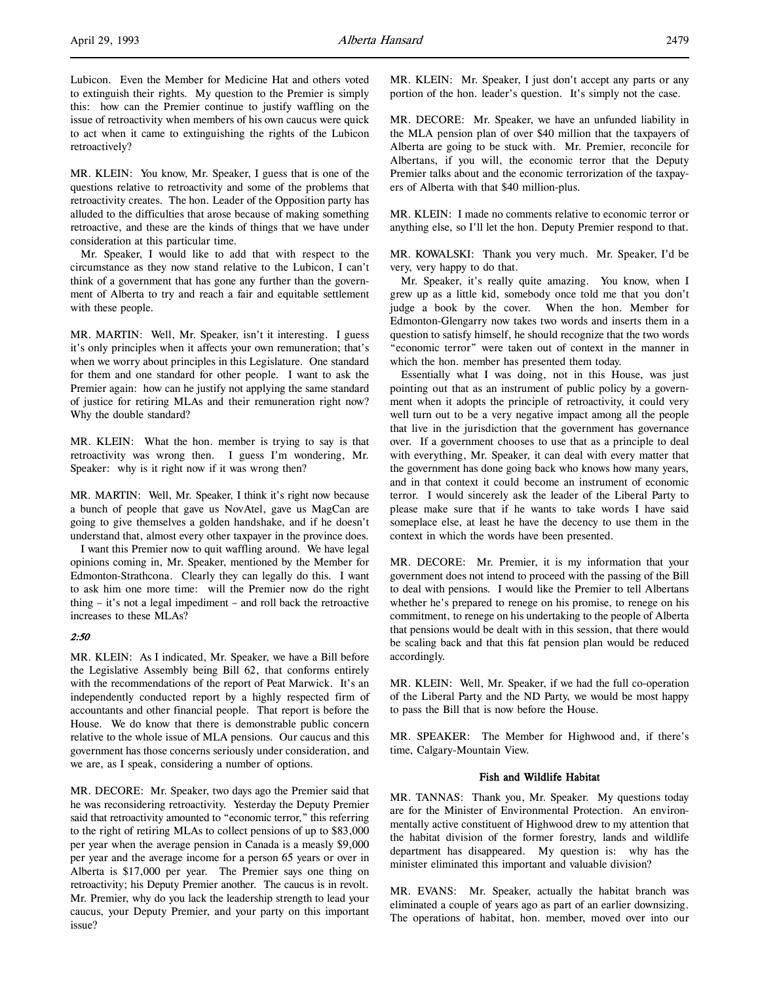Lubicon. Even the Member for Medicine Hat and others voted to extinguish their rights. My question to the Premier is simply this: how can the Premier continue to justify waffling on the issue of retroactivity when members of his own caucus were quick to act when it came to extinguishing the rights of the Lubicon retroactively?

MR. KLEIN: You know, Mr. Speaker, I guess that is one of the questions relative to retroactivity and some of the problems that retroactivity creates. The hon. Leader of the Opposition party has alluded to the difficulties that arose because of making something retroactive, and these are the kinds of things that we have under consideration at this particular time.

Mr. Speaker, I would like to add that with respect to the circumstance as they now stand relative to the Lubicon, I can't think of a government that has gone any further than the government of Alberta to try and reach a fair and equitable settlement with these people.

MR. MARTIN: Well, Mr. Speaker, isn't it interesting. I guess it's only principles when it affects your own remuneration; that's when we worry about principles in this Legislature. One standard for them and one standard for other people. I want to ask the Premier again: how can he justify not applying the same standard of justice for retiring MLAs and their remuneration right now? Why the double standard?

MR. KLEIN: What the hon. member is trying to say is that retroactivity was wrong then. I guess I'm wondering, Mr. Speaker: why is it right now if it was wrong then?

MR. MARTIN: Well, Mr. Speaker, I think it's right now because a bunch of people that gave us NovAtel, gave us MagCan are going to give themselves a golden handshake, and if he doesn't understand that, almost every other taxpayer in the province does.

I want this Premier now to quit waffling around. We have legal opinions coming in, Mr. Speaker, mentioned by the Member for Edmonton-Strathcona. Clearly they can legally do this. I want to ask him one more time: will the Premier now do the right thing – it's not a legal impediment – and roll back the retroactive increases to these MLAs?

## 2:50

MR. KLEIN: As I indicated, Mr. Speaker, we have a Bill before the Legislative Assembly being Bill 62, that conforms entirely with the recommendations of the report of Peat Marwick. It's an independently conducted report by a highly respected firm of accountants and other financial people. That report is before the House. We do know that there is demonstrable public concern relative to the whole issue of MLA pensions. Our caucus and this government has those concerns seriously under consideration, and we are, as I speak, considering a number of options.

MR. DECORE: Mr. Speaker, two days ago the Premier said that he was reconsidering retroactivity. Yesterday the Deputy Premier said that retroactivity amounted to "economic terror," this referring to the right of retiring MLAs to collect pensions of up to \$83,000 per year when the average pension in Canada is a measly \$9,000 per year and the average income for a person 65 years or over in Alberta is \$17,000 per year. The Premier says one thing on retroactivity; his Deputy Premier another. The caucus is in revolt. Mr. Premier, why do you lack the leadership strength to lead your caucus, your Deputy Premier, and your party on this important issue?

MR. KLEIN: Mr. Speaker, I just don't accept any parts or any portion of the hon. leader's question. It's simply not the case.

MR. DECORE: Mr. Speaker, we have an unfunded liability in the MLA pension plan of over \$40 million that the taxpayers of Alberta are going to be stuck with. Mr. Premier, reconcile for Albertans, if you will, the economic terror that the Deputy Premier talks about and the economic terrorization of the taxpayers of Alberta with that \$40 million-plus.

MR. KLEIN: I made no comments relative to economic terror or anything else, so I'll let the hon. Deputy Premier respond to that.

MR. KOWALSKI: Thank you very much. Mr. Speaker, I'd be very, very happy to do that.

Mr. Speaker, it's really quite amazing. You know, when I grew up as a little kid, somebody once told me that you don't judge a book by the cover. When the hon. Member for Edmonton-Glengarry now takes two words and inserts them in a question to satisfy himself, he should recognize that the two words "economic terror" were taken out of context in the manner in which the hon. member has presented them today.

Essentially what I was doing, not in this House, was just pointing out that as an instrument of public policy by a government when it adopts the principle of retroactivity, it could very well turn out to be a very negative impact among all the people that live in the jurisdiction that the government has governance over. If a government chooses to use that as a principle to deal with everything, Mr. Speaker, it can deal with every matter that the government has done going back who knows how many years, and in that context it could become an instrument of economic terror. I would sincerely ask the leader of the Liberal Party to please make sure that if he wants to take words I have said someplace else, at least he have the decency to use them in the context in which the words have been presented.

MR. DECORE: Mr. Premier, it is my information that your government does not intend to proceed with the passing of the Bill to deal with pensions. I would like the Premier to tell Albertans whether he's prepared to renege on his promise, to renege on his commitment, to renege on his undertaking to the people of Alberta that pensions would be dealt with in this session, that there would be scaling back and that this fat pension plan would be reduced accordingly.

MR. KLEIN: Well, Mr. Speaker, if we had the full co-operation of the Liberal Party and the ND Party, we would be most happy to pass the Bill that is now before the House.

MR. SPEAKER: The Member for Highwood and, if there's time, Calgary-Mountain View.

#### Fish and Wildlife Habitat

MR. TANNAS: Thank you, Mr. Speaker. My questions today are for the Minister of Environmental Protection. An environmentally active constituent of Highwood drew to my attention that the habitat division of the former forestry, lands and wildlife department has disappeared. My question is: why has the minister eliminated this important and valuable division?

MR. EVANS: Mr. Speaker, actually the habitat branch was eliminated a couple of years ago as part of an earlier downsizing. The operations of habitat, hon. member, moved over into our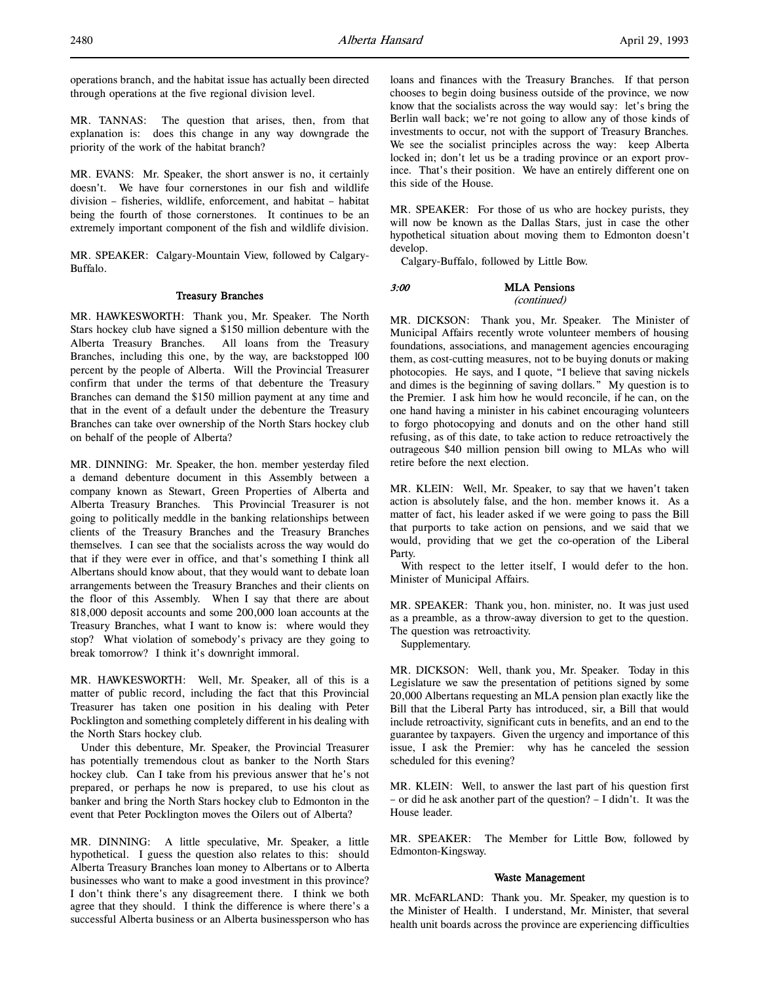operations branch, and the habitat issue has actually been directed through operations at the five regional division level.

MR. TANNAS: The question that arises, then, from that explanation is: does this change in any way downgrade the priority of the work of the habitat branch?

MR. EVANS: Mr. Speaker, the short answer is no, it certainly doesn't. We have four cornerstones in our fish and wildlife division – fisheries, wildlife, enforcement, and habitat – habitat being the fourth of those cornerstones. It continues to be an extremely important component of the fish and wildlife division.

MR. SPEAKER: Calgary-Mountain View, followed by Calgary-Buffalo.

#### Treasury Branches

MR. HAWKESWORTH: Thank you, Mr. Speaker. The North Stars hockey club have signed a \$150 million debenture with the Alberta Treasury Branches. All loans from the Treasury Branches, including this one, by the way, are backstopped 100 percent by the people of Alberta. Will the Provincial Treasurer confirm that under the terms of that debenture the Treasury Branches can demand the \$150 million payment at any time and that in the event of a default under the debenture the Treasury Branches can take over ownership of the North Stars hockey club on behalf of the people of Alberta?

MR. DINNING: Mr. Speaker, the hon. member yesterday filed a demand debenture document in this Assembly between a company known as Stewart, Green Properties of Alberta and Alberta Treasury Branches. This Provincial Treasurer is not going to politically meddle in the banking relationships between clients of the Treasury Branches and the Treasury Branches themselves. I can see that the socialists across the way would do that if they were ever in office, and that's something I think all Albertans should know about, that they would want to debate loan arrangements between the Treasury Branches and their clients on the floor of this Assembly. When I say that there are about 818,000 deposit accounts and some 200,000 loan accounts at the Treasury Branches, what I want to know is: where would they stop? What violation of somebody's privacy are they going to break tomorrow? I think it's downright immoral.

MR. HAWKESWORTH: Well, Mr. Speaker, all of this is a matter of public record, including the fact that this Provincial Treasurer has taken one position in his dealing with Peter Pocklington and something completely different in his dealing with the North Stars hockey club.

Under this debenture, Mr. Speaker, the Provincial Treasurer has potentially tremendous clout as banker to the North Stars hockey club. Can I take from his previous answer that he's not prepared, or perhaps he now is prepared, to use his clout as banker and bring the North Stars hockey club to Edmonton in the event that Peter Pocklington moves the Oilers out of Alberta?

MR. DINNING: A little speculative, Mr. Speaker, a little hypothetical. I guess the question also relates to this: should Alberta Treasury Branches loan money to Albertans or to Alberta businesses who want to make a good investment in this province? I don't think there's any disagreement there. I think we both agree that they should. I think the difference is where there's a successful Alberta business or an Alberta businessperson who has

loans and finances with the Treasury Branches. If that person chooses to begin doing business outside of the province, we now know that the socialists across the way would say: let's bring the Berlin wall back; we're not going to allow any of those kinds of investments to occur, not with the support of Treasury Branches. We see the socialist principles across the way: keep Alberta locked in; don't let us be a trading province or an export province. That's their position. We have an entirely different one on this side of the House.

MR. SPEAKER: For those of us who are hockey purists, they will now be known as the Dallas Stars, just in case the other hypothetical situation about moving them to Edmonton doesn't develop.

Calgary-Buffalo, followed by Little Bow.

### 3:00 MLA Pensions (continued)

MR. DICKSON: Thank you, Mr. Speaker. The Minister of Municipal Affairs recently wrote volunteer members of housing foundations, associations, and management agencies encouraging them, as cost-cutting measures, not to be buying donuts or making photocopies. He says, and I quote, "I believe that saving nickels and dimes is the beginning of saving dollars." My question is to the Premier. I ask him how he would reconcile, if he can, on the one hand having a minister in his cabinet encouraging volunteers to forgo photocopying and donuts and on the other hand still refusing, as of this date, to take action to reduce retroactively the outrageous \$40 million pension bill owing to MLAs who will retire before the next election.

MR. KLEIN: Well, Mr. Speaker, to say that we haven't taken action is absolutely false, and the hon. member knows it. As a matter of fact, his leader asked if we were going to pass the Bill that purports to take action on pensions, and we said that we would, providing that we get the co-operation of the Liberal Party.

With respect to the letter itself, I would defer to the hon. Minister of Municipal Affairs.

MR. SPEAKER: Thank you, hon. minister, no. It was just used as a preamble, as a throw-away diversion to get to the question. The question was retroactivity.

Supplementary.

MR. DICKSON: Well, thank you, Mr. Speaker. Today in this Legislature we saw the presentation of petitions signed by some 20,000 Albertans requesting an MLA pension plan exactly like the Bill that the Liberal Party has introduced, sir, a Bill that would include retroactivity, significant cuts in benefits, and an end to the guarantee by taxpayers. Given the urgency and importance of this issue, I ask the Premier: why has he canceled the session scheduled for this evening?

MR. KLEIN: Well, to answer the last part of his question first – or did he ask another part of the question? – I didn't. It was the House leader.

MR. SPEAKER: The Member for Little Bow, followed by Edmonton-Kingsway.

#### Waste Management

MR. McFARLAND: Thank you. Mr. Speaker, my question is to the Minister of Health. I understand, Mr. Minister, that several health unit boards across the province are experiencing difficulties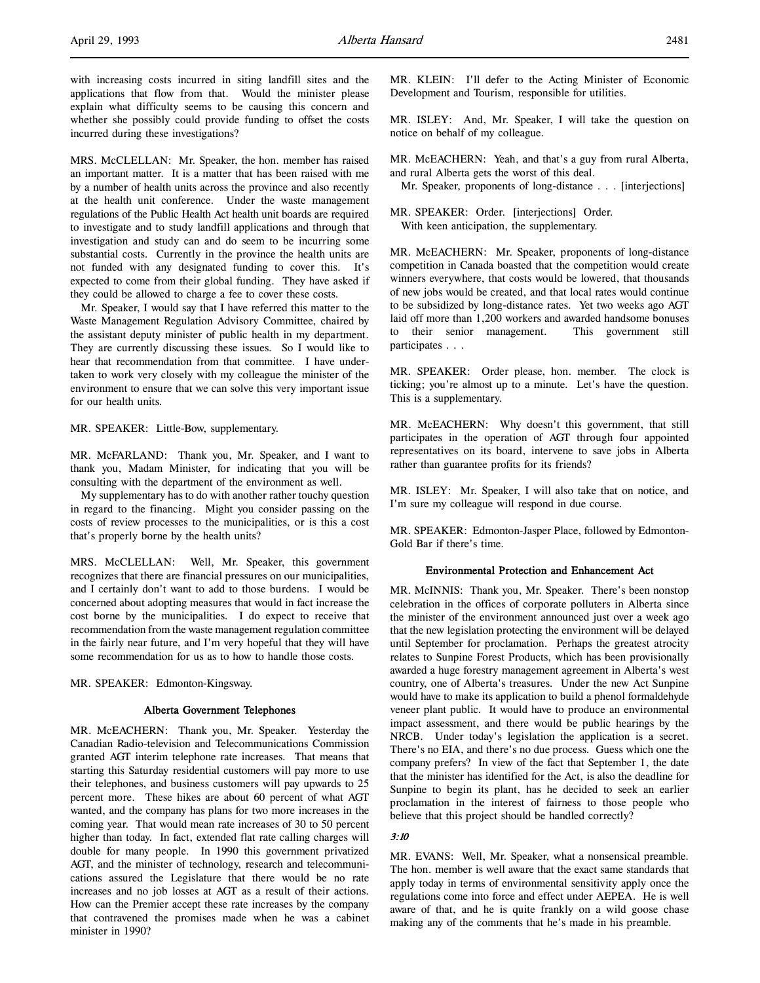with increasing costs incurred in siting landfill sites and the applications that flow from that. Would the minister please explain what difficulty seems to be causing this concern and whether she possibly could provide funding to offset the costs incurred during these investigations?

MRS. McCLELLAN: Mr. Speaker, the hon. member has raised an important matter. It is a matter that has been raised with me by a number of health units across the province and also recently at the health unit conference. Under the waste management regulations of the Public Health Act health unit boards are required to investigate and to study landfill applications and through that investigation and study can and do seem to be incurring some substantial costs. Currently in the province the health units are not funded with any designated funding to cover this. It's expected to come from their global funding. They have asked if they could be allowed to charge a fee to cover these costs.

Mr. Speaker, I would say that I have referred this matter to the Waste Management Regulation Advisory Committee, chaired by the assistant deputy minister of public health in my department. They are currently discussing these issues. So I would like to hear that recommendation from that committee. I have undertaken to work very closely with my colleague the minister of the environment to ensure that we can solve this very important issue for our health units.

MR. SPEAKER: Little-Bow, supplementary.

MR. McFARLAND: Thank you, Mr. Speaker, and I want to thank you, Madam Minister, for indicating that you will be consulting with the department of the environment as well.

My supplementary has to do with another rather touchy question in regard to the financing. Might you consider passing on the costs of review processes to the municipalities, or is this a cost that's properly borne by the health units?

MRS. McCLELLAN: Well, Mr. Speaker, this government recognizes that there are financial pressures on our municipalities, and I certainly don't want to add to those burdens. I would be concerned about adopting measures that would in fact increase the cost borne by the municipalities. I do expect to receive that recommendation from the waste management regulation committee in the fairly near future, and I'm very hopeful that they will have some recommendation for us as to how to handle those costs.

MR. SPEAKER: Edmonton-Kingsway.

#### Alberta Government Telephones

MR. McEACHERN: Thank you, Mr. Speaker. Yesterday the Canadian Radio-television and Telecommunications Commission granted AGT interim telephone rate increases. That means that starting this Saturday residential customers will pay more to use their telephones, and business customers will pay upwards to 25 percent more. These hikes are about 60 percent of what AGT wanted, and the company has plans for two more increases in the coming year. That would mean rate increases of 30 to 50 percent higher than today. In fact, extended flat rate calling charges will double for many people. In 1990 this government privatized AGT, and the minister of technology, research and telecommunications assured the Legislature that there would be no rate increases and no job losses at AGT as a result of their actions. How can the Premier accept these rate increases by the company that contravened the promises made when he was a cabinet minister in 1990?

MR. KLEIN: I'll defer to the Acting Minister of Economic Development and Tourism, responsible for utilities.

MR. ISLEY: And, Mr. Speaker, I will take the question on notice on behalf of my colleague.

MR. McEACHERN: Yeah, and that's a guy from rural Alberta, and rural Alberta gets the worst of this deal.

Mr. Speaker, proponents of long-distance . . . [interjections]

MR. SPEAKER: Order. [interjections] Order. With keen anticipation, the supplementary.

MR. McEACHERN: Mr. Speaker, proponents of long-distance competition in Canada boasted that the competition would create winners everywhere, that costs would be lowered, that thousands of new jobs would be created, and that local rates would continue to be subsidized by long-distance rates. Yet two weeks ago AGT laid off more than 1,200 workers and awarded handsome bonuses to their senior management. This government still participates . . .

MR. SPEAKER: Order please, hon. member. The clock is ticking; you're almost up to a minute. Let's have the question. This is a supplementary.

MR. McEACHERN: Why doesn't this government, that still participates in the operation of AGT through four appointed representatives on its board, intervene to save jobs in Alberta rather than guarantee profits for its friends?

MR. ISLEY: Mr. Speaker, I will also take that on notice, and I'm sure my colleague will respond in due course.

MR. SPEAKER: Edmonton-Jasper Place, followed by Edmonton-Gold Bar if there's time.

## Environmental Protection and Enhancement Act

MR. McINNIS: Thank you, Mr. Speaker. There's been nonstop celebration in the offices of corporate polluters in Alberta since the minister of the environment announced just over a week ago that the new legislation protecting the environment will be delayed until September for proclamation. Perhaps the greatest atrocity relates to Sunpine Forest Products, which has been provisionally awarded a huge forestry management agreement in Alberta's west country, one of Alberta's treasures. Under the new Act Sunpine would have to make its application to build a phenol formaldehyde veneer plant public. It would have to produce an environmental impact assessment, and there would be public hearings by the NRCB. Under today's legislation the application is a secret. There's no EIA, and there's no due process. Guess which one the company prefers? In view of the fact that September 1, the date that the minister has identified for the Act, is also the deadline for Sunpine to begin its plant, has he decided to seek an earlier proclamation in the interest of fairness to those people who believe that this project should be handled correctly?

#### 3:10

MR. EVANS: Well, Mr. Speaker, what a nonsensical preamble. The hon. member is well aware that the exact same standards that apply today in terms of environmental sensitivity apply once the regulations come into force and effect under AEPEA. He is well aware of that, and he is quite frankly on a wild goose chase making any of the comments that he's made in his preamble.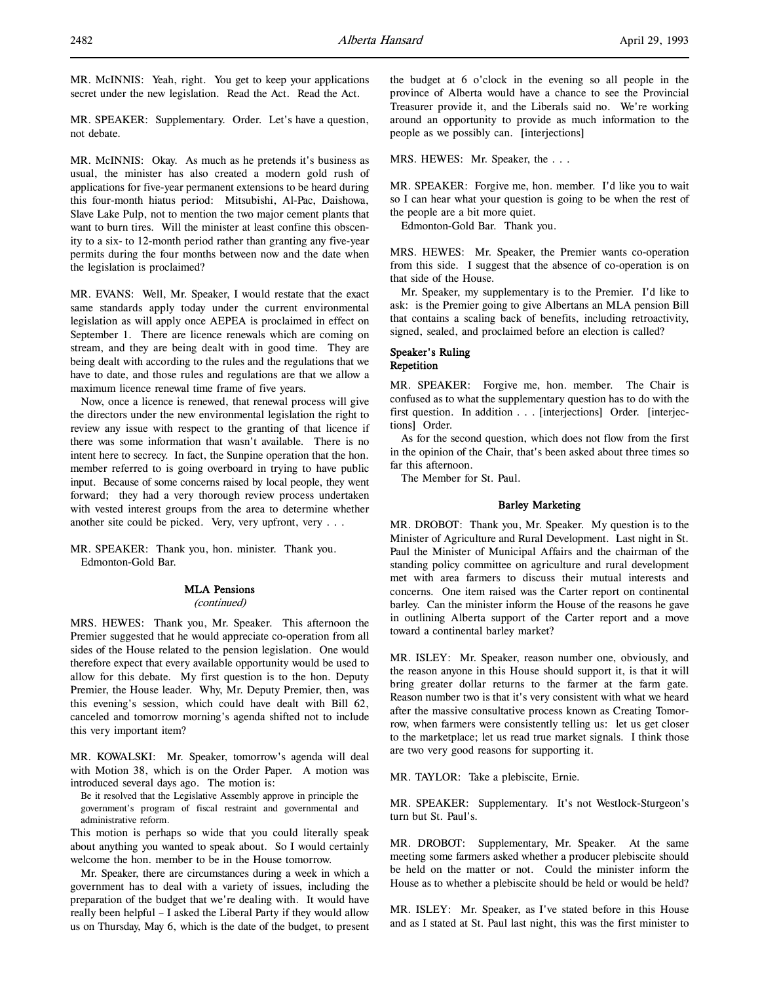MR. SPEAKER: Supplementary. Order. Let's have a question, not debate.

MR. McINNIS: Okay. As much as he pretends it's business as usual, the minister has also created a modern gold rush of applications for five-year permanent extensions to be heard during this four-month hiatus period: Mitsubishi, Al-Pac, Daishowa, Slave Lake Pulp, not to mention the two major cement plants that want to burn tires. Will the minister at least confine this obscenity to a six- to 12-month period rather than granting any five-year permits during the four months between now and the date when the legislation is proclaimed?

MR. EVANS: Well, Mr. Speaker, I would restate that the exact same standards apply today under the current environmental legislation as will apply once AEPEA is proclaimed in effect on September 1. There are licence renewals which are coming on stream, and they are being dealt with in good time. They are being dealt with according to the rules and the regulations that we have to date, and those rules and regulations are that we allow a maximum licence renewal time frame of five years.

Now, once a licence is renewed, that renewal process will give the directors under the new environmental legislation the right to review any issue with respect to the granting of that licence if there was some information that wasn't available. There is no intent here to secrecy. In fact, the Sunpine operation that the hon. member referred to is going overboard in trying to have public input. Because of some concerns raised by local people, they went forward; they had a very thorough review process undertaken with vested interest groups from the area to determine whether another site could be picked. Very, very upfront, very . . .

MR. SPEAKER: Thank you, hon. minister. Thank you. Edmonton-Gold Bar.

#### MLA Pensions

## (continued)

MRS. HEWES: Thank you, Mr. Speaker. This afternoon the Premier suggested that he would appreciate co-operation from all sides of the House related to the pension legislation. One would therefore expect that every available opportunity would be used to allow for this debate. My first question is to the hon. Deputy Premier, the House leader. Why, Mr. Deputy Premier, then, was this evening's session, which could have dealt with Bill 62, canceled and tomorrow morning's agenda shifted not to include this very important item?

MR. KOWALSKI: Mr. Speaker, tomorrow's agenda will deal with Motion 38, which is on the Order Paper. A motion was introduced several days ago. The motion is:

Be it resolved that the Legislative Assembly approve in principle the government's program of fiscal restraint and governmental and administrative reform.

This motion is perhaps so wide that you could literally speak about anything you wanted to speak about. So I would certainly welcome the hon. member to be in the House tomorrow.

Mr. Speaker, there are circumstances during a week in which a government has to deal with a variety of issues, including the preparation of the budget that we're dealing with. It would have really been helpful – I asked the Liberal Party if they would allow us on Thursday, May 6, which is the date of the budget, to present

the budget at 6 o'clock in the evening so all people in the province of Alberta would have a chance to see the Provincial Treasurer provide it, and the Liberals said no. We're working around an opportunity to provide as much information to the people as we possibly can. [interjections]

MRS. HEWES: Mr. Speaker, the . . .

MR. SPEAKER: Forgive me, hon. member. I'd like you to wait so I can hear what your question is going to be when the rest of the people are a bit more quiet.

Edmonton-Gold Bar. Thank you.

MRS. HEWES: Mr. Speaker, the Premier wants co-operation from this side. I suggest that the absence of co-operation is on that side of the House.

Mr. Speaker, my supplementary is to the Premier. I'd like to ask: is the Premier going to give Albertans an MLA pension Bill that contains a scaling back of benefits, including retroactivity, signed, sealed, and proclaimed before an election is called?

## Speaker's Ruling Repetition

MR. SPEAKER: Forgive me, hon. member. The Chair is confused as to what the supplementary question has to do with the first question. In addition . . . [interjections] Order. [interjections] Order.

As for the second question, which does not flow from the first in the opinion of the Chair, that's been asked about three times so far this afternoon.

The Member for St. Paul.

## Barley Marketing

MR. DROBOT: Thank you, Mr. Speaker. My question is to the Minister of Agriculture and Rural Development. Last night in St. Paul the Minister of Municipal Affairs and the chairman of the standing policy committee on agriculture and rural development met with area farmers to discuss their mutual interests and concerns. One item raised was the Carter report on continental barley. Can the minister inform the House of the reasons he gave in outlining Alberta support of the Carter report and a move toward a continental barley market?

MR. ISLEY: Mr. Speaker, reason number one, obviously, and the reason anyone in this House should support it, is that it will bring greater dollar returns to the farmer at the farm gate. Reason number two is that it's very consistent with what we heard after the massive consultative process known as Creating Tomorrow, when farmers were consistently telling us: let us get closer to the marketplace; let us read true market signals. I think those are two very good reasons for supporting it.

MR. TAYLOR: Take a plebiscite, Ernie.

MR. SPEAKER: Supplementary. It's not Westlock-Sturgeon's turn but St. Paul's.

MR. DROBOT: Supplementary, Mr. Speaker. At the same meeting some farmers asked whether a producer plebiscite should be held on the matter or not. Could the minister inform the House as to whether a plebiscite should be held or would be held?

MR. ISLEY: Mr. Speaker, as I've stated before in this House and as I stated at St. Paul last night, this was the first minister to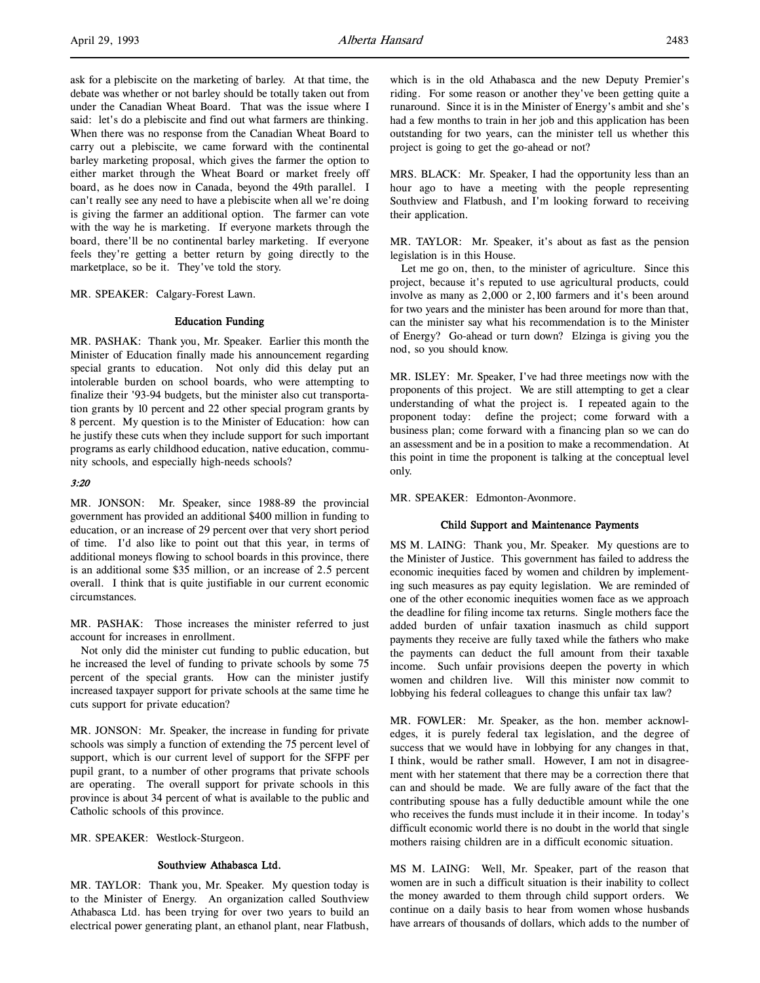ask for a plebiscite on the marketing of barley. At that time, the debate was whether or not barley should be totally taken out from under the Canadian Wheat Board. That was the issue where I said: let's do a plebiscite and find out what farmers are thinking. When there was no response from the Canadian Wheat Board to carry out a plebiscite, we came forward with the continental barley marketing proposal, which gives the farmer the option to either market through the Wheat Board or market freely off board, as he does now in Canada, beyond the 49th parallel. I can't really see any need to have a plebiscite when all we're doing is giving the farmer an additional option. The farmer can vote with the way he is marketing. If everyone markets through the board, there'll be no continental barley marketing. If everyone feels they're getting a better return by going directly to the marketplace, so be it. They've told the story.

MR. SPEAKER: Calgary-Forest Lawn.

#### Education Funding

MR. PASHAK: Thank you, Mr. Speaker. Earlier this month the Minister of Education finally made his announcement regarding special grants to education. Not only did this delay put an intolerable burden on school boards, who were attempting to finalize their '93-94 budgets, but the minister also cut transportation grants by 10 percent and 22 other special program grants by 8 percent. My question is to the Minister of Education: how can he justify these cuts when they include support for such important programs as early childhood education, native education, community schools, and especially high-needs schools?

## $3.20$

MR. JONSON: Mr. Speaker, since 1988-89 the provincial government has provided an additional \$400 million in funding to education, or an increase of 29 percent over that very short period of time. I'd also like to point out that this year, in terms of additional moneys flowing to school boards in this province, there is an additional some \$35 million, or an increase of 2.5 percent overall. I think that is quite justifiable in our current economic circumstances.

MR. PASHAK: Those increases the minister referred to just account for increases in enrollment.

Not only did the minister cut funding to public education, but he increased the level of funding to private schools by some 75 percent of the special grants. How can the minister justify increased taxpayer support for private schools at the same time he cuts support for private education?

MR. JONSON: Mr. Speaker, the increase in funding for private schools was simply a function of extending the 75 percent level of support, which is our current level of support for the SFPF per pupil grant, to a number of other programs that private schools are operating. The overall support for private schools in this province is about 34 percent of what is available to the public and Catholic schools of this province.

MR. SPEAKER: Westlock-Sturgeon.

#### Southview Athabasca Ltd.

MR. TAYLOR: Thank you, Mr. Speaker. My question today is to the Minister of Energy. An organization called Southview Athabasca Ltd. has been trying for over two years to build an electrical power generating plant, an ethanol plant, near Flatbush,

which is in the old Athabasca and the new Deputy Premier's riding. For some reason or another they've been getting quite a runaround. Since it is in the Minister of Energy's ambit and she's had a few months to train in her job and this application has been outstanding for two years, can the minister tell us whether this project is going to get the go-ahead or not?

MRS. BLACK: Mr. Speaker, I had the opportunity less than an hour ago to have a meeting with the people representing Southview and Flatbush, and I'm looking forward to receiving their application.

MR. TAYLOR: Mr. Speaker, it's about as fast as the pension legislation is in this House.

Let me go on, then, to the minister of agriculture. Since this project, because it's reputed to use agricultural products, could involve as many as 2,000 or 2,100 farmers and it's been around for two years and the minister has been around for more than that, can the minister say what his recommendation is to the Minister of Energy? Go-ahead or turn down? Elzinga is giving you the nod, so you should know.

MR. ISLEY: Mr. Speaker, I've had three meetings now with the proponents of this project. We are still attempting to get a clear understanding of what the project is. I repeated again to the proponent today: define the project; come forward with a business plan; come forward with a financing plan so we can do an assessment and be in a position to make a recommendation. At this point in time the proponent is talking at the conceptual level only.

MR. SPEAKER: Edmonton-Avonmore.

## Child Support and Maintenance Payments

MS M. LAING: Thank you, Mr. Speaker. My questions are to the Minister of Justice. This government has failed to address the economic inequities faced by women and children by implementing such measures as pay equity legislation. We are reminded of one of the other economic inequities women face as we approach the deadline for filing income tax returns. Single mothers face the added burden of unfair taxation inasmuch as child support payments they receive are fully taxed while the fathers who make the payments can deduct the full amount from their taxable income. Such unfair provisions deepen the poverty in which women and children live. Will this minister now commit to lobbying his federal colleagues to change this unfair tax law?

MR. FOWLER: Mr. Speaker, as the hon. member acknowledges, it is purely federal tax legislation, and the degree of success that we would have in lobbying for any changes in that, I think, would be rather small. However, I am not in disagreement with her statement that there may be a correction there that can and should be made. We are fully aware of the fact that the contributing spouse has a fully deductible amount while the one who receives the funds must include it in their income. In today's difficult economic world there is no doubt in the world that single mothers raising children are in a difficult economic situation.

MS M. LAING: Well, Mr. Speaker, part of the reason that women are in such a difficult situation is their inability to collect the money awarded to them through child support orders. We continue on a daily basis to hear from women whose husbands have arrears of thousands of dollars, which adds to the number of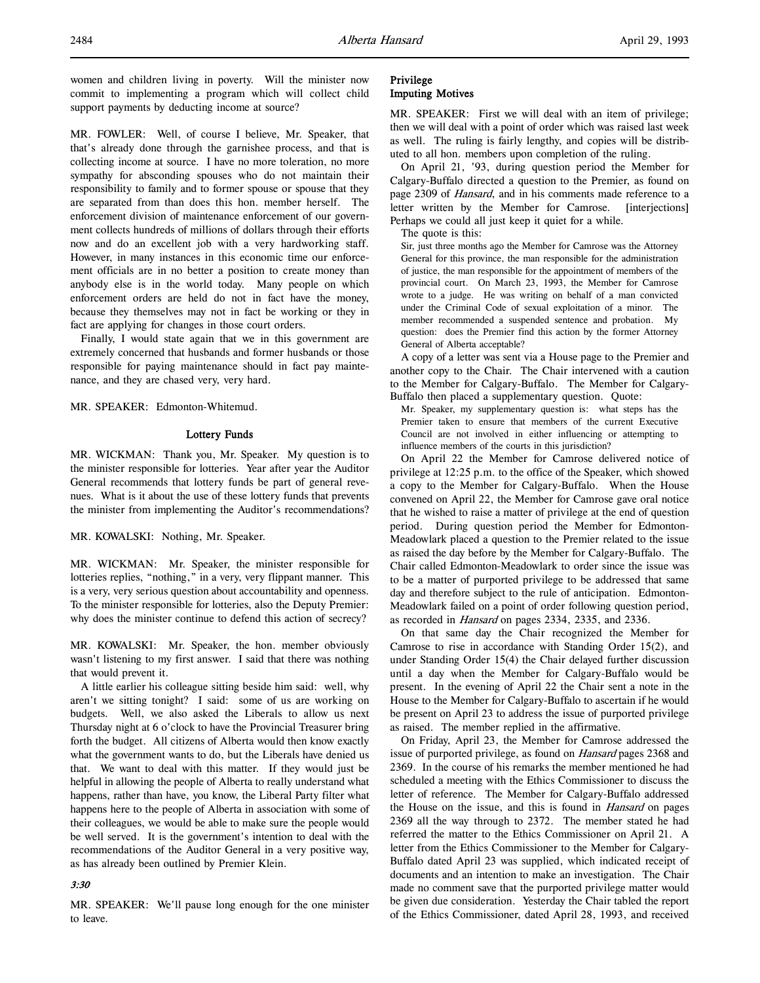women and children living in poverty. Will the minister now commit to implementing a program which will collect child support payments by deducting income at source?

MR. FOWLER: Well, of course I believe, Mr. Speaker, that that's already done through the garnishee process, and that is collecting income at source. I have no more toleration, no more sympathy for absconding spouses who do not maintain their responsibility to family and to former spouse or spouse that they are separated from than does this hon. member herself. The enforcement division of maintenance enforcement of our government collects hundreds of millions of dollars through their efforts now and do an excellent job with a very hardworking staff. However, in many instances in this economic time our enforcement officials are in no better a position to create money than anybody else is in the world today. Many people on which enforcement orders are held do not in fact have the money, because they themselves may not in fact be working or they in fact are applying for changes in those court orders.

Finally, I would state again that we in this government are extremely concerned that husbands and former husbands or those responsible for paying maintenance should in fact pay maintenance, and they are chased very, very hard.

MR. SPEAKER: Edmonton-Whitemud.

#### Lottery Funds

MR. WICKMAN: Thank you, Mr. Speaker. My question is to the minister responsible for lotteries. Year after year the Auditor General recommends that lottery funds be part of general revenues. What is it about the use of these lottery funds that prevents the minister from implementing the Auditor's recommendations?

MR. KOWALSKI: Nothing, Mr. Speaker.

MR. WICKMAN: Mr. Speaker, the minister responsible for lotteries replies, "nothing," in a very, very flippant manner. This is a very, very serious question about accountability and openness. To the minister responsible for lotteries, also the Deputy Premier: why does the minister continue to defend this action of secrecy?

MR. KOWALSKI: Mr. Speaker, the hon. member obviously wasn't listening to my first answer. I said that there was nothing that would prevent it.

A little earlier his colleague sitting beside him said: well, why aren't we sitting tonight? I said: some of us are working on budgets. Well, we also asked the Liberals to allow us next Thursday night at 6 o'clock to have the Provincial Treasurer bring forth the budget. All citizens of Alberta would then know exactly what the government wants to do, but the Liberals have denied us that. We want to deal with this matter. If they would just be helpful in allowing the people of Alberta to really understand what happens, rather than have, you know, the Liberal Party filter what happens here to the people of Alberta in association with some of their colleagues, we would be able to make sure the people would be well served. It is the government's intention to deal with the recommendations of the Auditor General in a very positive way, as has already been outlined by Premier Klein.

#### 3:30

MR. SPEAKER: We'll pause long enough for the one minister to leave.

## Privilege Imputing Motives

MR. SPEAKER: First we will deal with an item of privilege; then we will deal with a point of order which was raised last week as well. The ruling is fairly lengthy, and copies will be distributed to all hon. members upon completion of the ruling.

On April 21, '93, during question period the Member for Calgary-Buffalo directed a question to the Premier, as found on page 2309 of Hansard, and in his comments made reference to a letter written by the Member for Camrose. [interjections] Perhaps we could all just keep it quiet for a while.

The quote is this:

Sir, just three months ago the Member for Camrose was the Attorney General for this province, the man responsible for the administration of justice, the man responsible for the appointment of members of the provincial court. On March 23, 1993, the Member for Camrose wrote to a judge. He was writing on behalf of a man convicted under the Criminal Code of sexual exploitation of a minor. The member recommended a suspended sentence and probation. My question: does the Premier find this action by the former Attorney General of Alberta acceptable?

A copy of a letter was sent via a House page to the Premier and another copy to the Chair. The Chair intervened with a caution to the Member for Calgary-Buffalo. The Member for Calgary-Buffalo then placed a supplementary question. Quote:

Mr. Speaker, my supplementary question is: what steps has the Premier taken to ensure that members of the current Executive Council are not involved in either influencing or attempting to influence members of the courts in this jurisdiction?

On April 22 the Member for Camrose delivered notice of privilege at 12:25 p.m. to the office of the Speaker, which showed a copy to the Member for Calgary-Buffalo. When the House convened on April 22, the Member for Camrose gave oral notice that he wished to raise a matter of privilege at the end of question period. During question period the Member for Edmonton-Meadowlark placed a question to the Premier related to the issue as raised the day before by the Member for Calgary-Buffalo. The Chair called Edmonton-Meadowlark to order since the issue was to be a matter of purported privilege to be addressed that same day and therefore subject to the rule of anticipation. Edmonton-Meadowlark failed on a point of order following question period, as recorded in Hansard on pages 2334, 2335, and 2336.

On that same day the Chair recognized the Member for Camrose to rise in accordance with Standing Order 15(2), and under Standing Order 15(4) the Chair delayed further discussion until a day when the Member for Calgary-Buffalo would be present. In the evening of April 22 the Chair sent a note in the House to the Member for Calgary-Buffalo to ascertain if he would be present on April 23 to address the issue of purported privilege as raised. The member replied in the affirmative.

On Friday, April 23, the Member for Camrose addressed the issue of purported privilege, as found on Hansard pages 2368 and 2369. In the course of his remarks the member mentioned he had scheduled a meeting with the Ethics Commissioner to discuss the letter of reference. The Member for Calgary-Buffalo addressed the House on the issue, and this is found in *Hansard* on pages 2369 all the way through to 2372. The member stated he had referred the matter to the Ethics Commissioner on April 21. A letter from the Ethics Commissioner to the Member for Calgary-Buffalo dated April 23 was supplied, which indicated receipt of documents and an intention to make an investigation. The Chair made no comment save that the purported privilege matter would be given due consideration. Yesterday the Chair tabled the report of the Ethics Commissioner, dated April 28, 1993, and received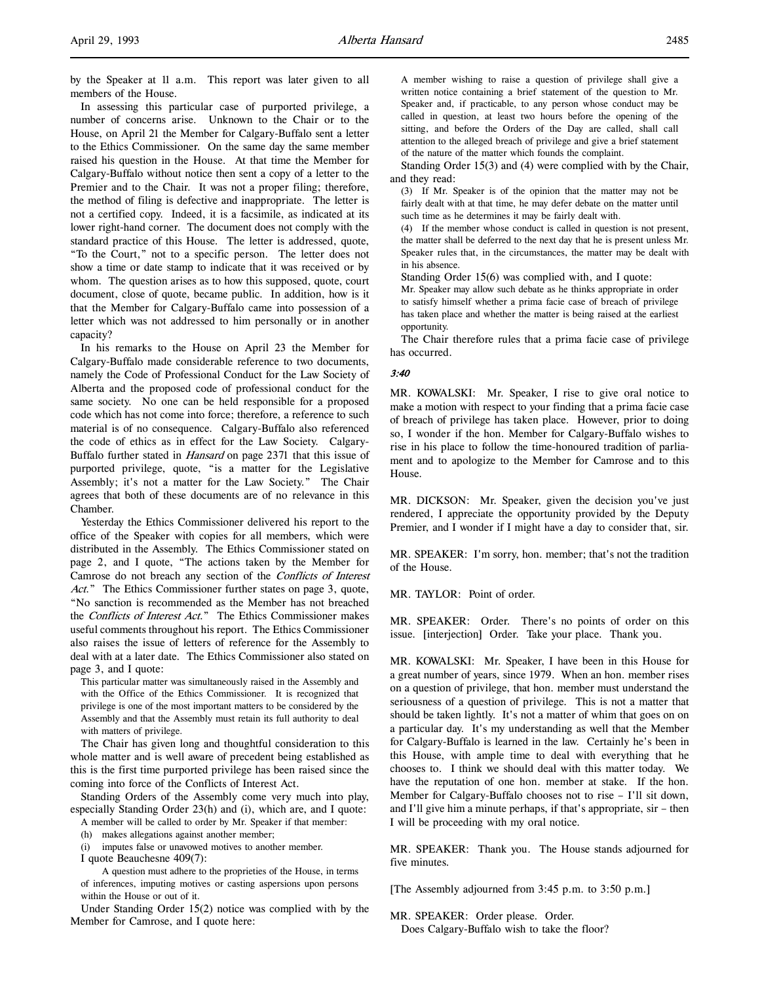by the Speaker at 11 a.m. This report was later given to all members of the House.

In assessing this particular case of purported privilege, a number of concerns arise. Unknown to the Chair or to the House, on April 21 the Member for Calgary-Buffalo sent a letter to the Ethics Commissioner. On the same day the same member raised his question in the House. At that time the Member for Calgary-Buffalo without notice then sent a copy of a letter to the Premier and to the Chair. It was not a proper filing; therefore, the method of filing is defective and inappropriate. The letter is not a certified copy. Indeed, it is a facsimile, as indicated at its lower right-hand corner. The document does not comply with the standard practice of this House. The letter is addressed, quote, "To the Court," not to a specific person. The letter does not show a time or date stamp to indicate that it was received or by whom. The question arises as to how this supposed, quote, court document, close of quote, became public. In addition, how is it that the Member for Calgary-Buffalo came into possession of a letter which was not addressed to him personally or in another capacity?

In his remarks to the House on April 23 the Member for Calgary-Buffalo made considerable reference to two documents, namely the Code of Professional Conduct for the Law Society of Alberta and the proposed code of professional conduct for the same society. No one can be held responsible for a proposed code which has not come into force; therefore, a reference to such material is of no consequence. Calgary-Buffalo also referenced the code of ethics as in effect for the Law Society. Calgary-Buffalo further stated in Hansard on page 2371 that this issue of purported privilege, quote, "is a matter for the Legislative Assembly; it's not a matter for the Law Society." The Chair agrees that both of these documents are of no relevance in this Chamber.

Yesterday the Ethics Commissioner delivered his report to the office of the Speaker with copies for all members, which were distributed in the Assembly. The Ethics Commissioner stated on page 2, and I quote, "The actions taken by the Member for Camrose do not breach any section of the Conflicts of Interest Act." The Ethics Commissioner further states on page 3, quote, "No sanction is recommended as the Member has not breached the Conflicts of Interest Act." The Ethics Commissioner makes useful comments throughout his report. The Ethics Commissioner also raises the issue of letters of reference for the Assembly to deal with at a later date. The Ethics Commissioner also stated on page 3, and I quote:

This particular matter was simultaneously raised in the Assembly and with the Office of the Ethics Commissioner. It is recognized that privilege is one of the most important matters to be considered by the Assembly and that the Assembly must retain its full authority to deal with matters of privilege.

The Chair has given long and thoughtful consideration to this whole matter and is well aware of precedent being established as this is the first time purported privilege has been raised since the coming into force of the Conflicts of Interest Act.

Standing Orders of the Assembly come very much into play, especially Standing Order 23(h) and (i), which are, and I quote:

A member will be called to order by Mr. Speaker if that member:

(h) makes allegations against another member;

(i) imputes false or unavowed motives to another member.

I quote Beauchesne 409(7):

A question must adhere to the proprieties of the House, in terms of inferences, imputing motives or casting aspersions upon persons within the House or out of it.

Under Standing Order 15(2) notice was complied with by the Member for Camrose, and I quote here:

A member wishing to raise a question of privilege shall give a written notice containing a brief statement of the question to Mr. Speaker and, if practicable, to any person whose conduct may be called in question, at least two hours before the opening of the sitting, and before the Orders of the Day are called, shall call attention to the alleged breach of privilege and give a brief statement of the nature of the matter which founds the complaint.

Standing Order 15(3) and (4) were complied with by the Chair, and they read:

(3) If Mr. Speaker is of the opinion that the matter may not be fairly dealt with at that time, he may defer debate on the matter until such time as he determines it may be fairly dealt with.

(4) If the member whose conduct is called in question is not present, the matter shall be deferred to the next day that he is present unless Mr. Speaker rules that, in the circumstances, the matter may be dealt with in his absence.

Standing Order 15(6) was complied with, and I quote:

Mr. Speaker may allow such debate as he thinks appropriate in order to satisfy himself whether a prima facie case of breach of privilege has taken place and whether the matter is being raised at the earliest opportunity.

The Chair therefore rules that a prima facie case of privilege has occurred.

#### 3:40

MR. KOWALSKI: Mr. Speaker, I rise to give oral notice to make a motion with respect to your finding that a prima facie case of breach of privilege has taken place. However, prior to doing so, I wonder if the hon. Member for Calgary-Buffalo wishes to rise in his place to follow the time-honoured tradition of parliament and to apologize to the Member for Camrose and to this House.

MR. DICKSON: Mr. Speaker, given the decision you've just rendered, I appreciate the opportunity provided by the Deputy Premier, and I wonder if I might have a day to consider that, sir.

MR. SPEAKER: I'm sorry, hon. member; that's not the tradition of the House.

MR. TAYLOR: Point of order.

MR. SPEAKER: Order. There's no points of order on this issue. [interjection] Order. Take your place. Thank you.

MR. KOWALSKI: Mr. Speaker, I have been in this House for a great number of years, since 1979. When an hon. member rises on a question of privilege, that hon. member must understand the seriousness of a question of privilege. This is not a matter that should be taken lightly. It's not a matter of whim that goes on on a particular day. It's my understanding as well that the Member for Calgary-Buffalo is learned in the law. Certainly he's been in this House, with ample time to deal with everything that he chooses to. I think we should deal with this matter today. We have the reputation of one hon. member at stake. If the hon. Member for Calgary-Buffalo chooses not to rise – I'll sit down, and I'll give him a minute perhaps, if that's appropriate, sir – then I will be proceeding with my oral notice.

MR. SPEAKER: Thank you. The House stands adjourned for five minutes.

[The Assembly adjourned from 3:45 p.m. to 3:50 p.m.]

MR. SPEAKER: Order please. Order. Does Calgary-Buffalo wish to take the floor?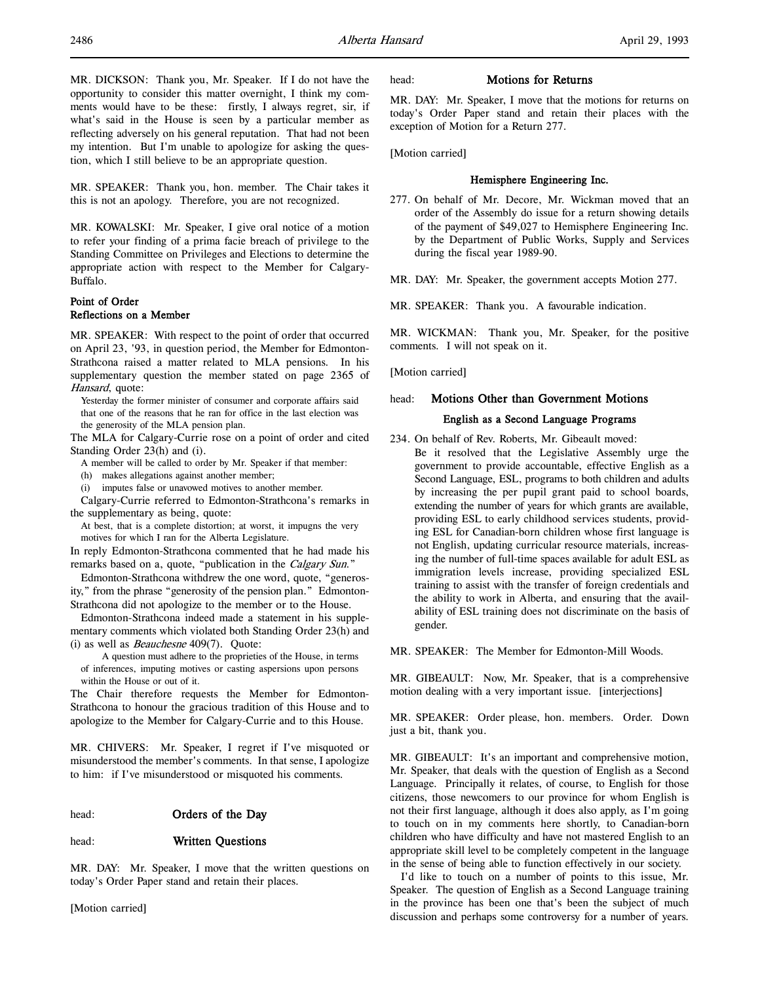MR. SPEAKER: Thank you, hon. member. The Chair takes it this is not an apology. Therefore, you are not recognized.

MR. KOWALSKI: Mr. Speaker, I give oral notice of a motion to refer your finding of a prima facie breach of privilege to the Standing Committee on Privileges and Elections to determine the appropriate action with respect to the Member for Calgary-Buffalo.

## Point of Order Reflections on a Member

MR. SPEAKER: With respect to the point of order that occurred on April 23, '93, in question period, the Member for Edmonton-Strathcona raised a matter related to MLA pensions. In his supplementary question the member stated on page 2365 of Hansard, quote:

Yesterday the former minister of consumer and corporate affairs said that one of the reasons that he ran for office in the last election was the generosity of the MLA pension plan.

The MLA for Calgary-Currie rose on a point of order and cited Standing Order 23(h) and (i).

A member will be called to order by Mr. Speaker if that member:

(h) makes allegations against another member;

(i) imputes false or unavowed motives to another member.

Calgary-Currie referred to Edmonton-Strathcona's remarks in the supplementary as being, quote:

At best, that is a complete distortion; at worst, it impugns the very motives for which I ran for the Alberta Legislature.

In reply Edmonton-Strathcona commented that he had made his remarks based on a, quote, "publication in the Calgary Sun."

Edmonton-Strathcona withdrew the one word, quote, "generosity," from the phrase "generosity of the pension plan." Edmonton-Strathcona did not apologize to the member or to the House.

Edmonton-Strathcona indeed made a statement in his supplementary comments which violated both Standing Order 23(h) and (i) as well as Beauchesne 409(7). Quote:

A question must adhere to the proprieties of the House, in terms of inferences, imputing motives or casting aspersions upon persons within the House or out of it.

The Chair therefore requests the Member for Edmonton-Strathcona to honour the gracious tradition of this House and to apologize to the Member for Calgary-Currie and to this House.

MR. CHIVERS: Mr. Speaker, I regret if I've misquoted or misunderstood the member's comments. In that sense, I apologize to him: if I've misunderstood or misquoted his comments.

## head: **Orders of the Day**

## head: Written Questions

MR. DAY: Mr. Speaker, I move that the written questions on today's Order Paper stand and retain their places.

[Motion carried]

## head: **Motions for Returns**

MR. DAY: Mr. Speaker, I move that the motions for returns on today's Order Paper stand and retain their places with the exception of Motion for a Return 277.

[Motion carried]

#### Hemisphere Engineering Inc.

277. On behalf of Mr. Decore, Mr. Wickman moved that an order of the Assembly do issue for a return showing details of the payment of \$49,027 to Hemisphere Engineering Inc. by the Department of Public Works, Supply and Services during the fiscal year 1989-90.

MR. DAY: Mr. Speaker, the government accepts Motion 277.

MR. SPEAKER: Thank you. A favourable indication.

MR. WICKMAN: Thank you, Mr. Speaker, for the positive comments. I will not speak on it.

[Motion carried]

## head: Motions Other than Government Motions

#### English as a Second Language Programs

234. On behalf of Rev. Roberts, Mr. Gibeault moved: Be it resolved that the Legislative Assembly urge the government to provide accountable, effective English as a Second Language, ESL, programs to both children and adults by increasing the per pupil grant paid to school boards, extending the number of years for which grants are available, providing ESL to early childhood services students, providing ESL for Canadian-born children whose first language is not English, updating curricular resource materials, increasing the number of full-time spaces available for adult ESL as immigration levels increase, providing specialized ESL training to assist with the transfer of foreign credentials and the ability to work in Alberta, and ensuring that the availability of ESL training does not discriminate on the basis of gender.

#### MR. SPEAKER: The Member for Edmonton-Mill Woods.

MR. GIBEAULT: Now, Mr. Speaker, that is a comprehensive motion dealing with a very important issue. [interjections]

MR. SPEAKER: Order please, hon. members. Order. Down just a bit, thank you.

MR. GIBEAULT: It's an important and comprehensive motion, Mr. Speaker, that deals with the question of English as a Second Language. Principally it relates, of course, to English for those citizens, those newcomers to our province for whom English is not their first language, although it does also apply, as I'm going to touch on in my comments here shortly, to Canadian-born children who have difficulty and have not mastered English to an appropriate skill level to be completely competent in the language in the sense of being able to function effectively in our society.

I'd like to touch on a number of points to this issue, Mr. Speaker. The question of English as a Second Language training in the province has been one that's been the subject of much discussion and perhaps some controversy for a number of years.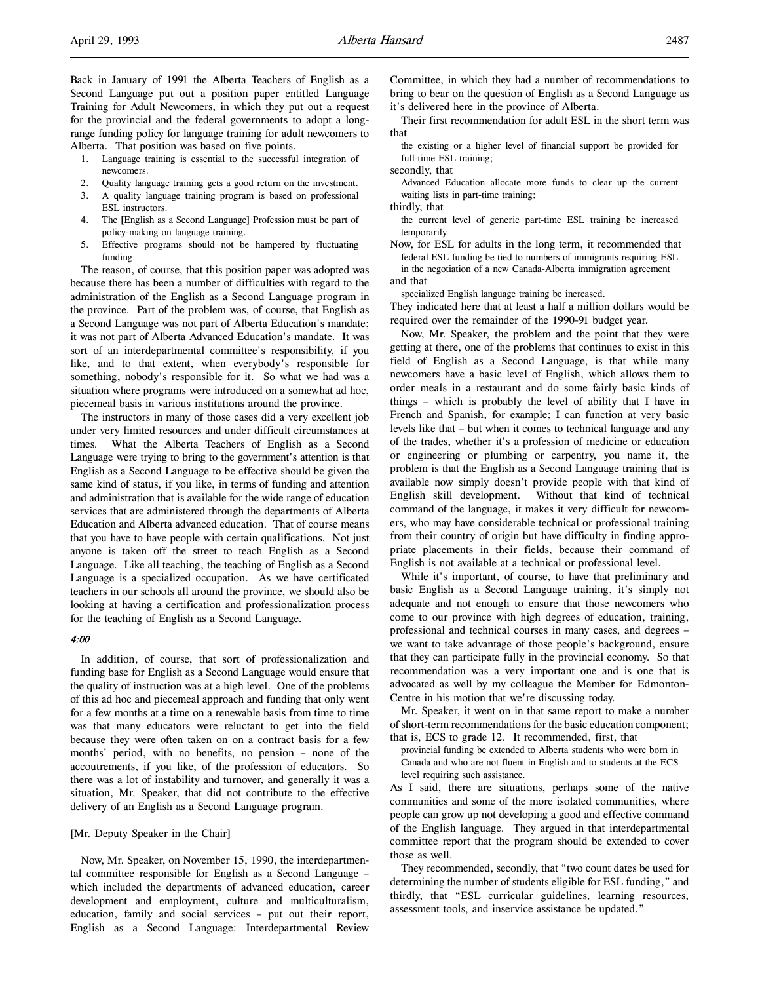Back in January of 1991 the Alberta Teachers of English as a Second Language put out a position paper entitled Language Training for Adult Newcomers, in which they put out a request for the provincial and the federal governments to adopt a longrange funding policy for language training for adult newcomers to Alberta. That position was based on five points.

- 1. Language training is essential to the successful integration of newcomers.
- 2. Quality language training gets a good return on the investment.<br>3. A quality language training program is based on professional
- 3. A quality language training program is based on professional ESL instructors.
- 4. The [English as a Second Language] Profession must be part of policy-making on language training.
- 5. Effective programs should not be hampered by fluctuating funding.

The reason, of course, that this position paper was adopted was because there has been a number of difficulties with regard to the administration of the English as a Second Language program in the province. Part of the problem was, of course, that English as a Second Language was not part of Alberta Education's mandate; it was not part of Alberta Advanced Education's mandate. It was sort of an interdepartmental committee's responsibility, if you like, and to that extent, when everybody's responsible for something, nobody's responsible for it. So what we had was a situation where programs were introduced on a somewhat ad hoc, piecemeal basis in various institutions around the province.

The instructors in many of those cases did a very excellent job under very limited resources and under difficult circumstances at times. What the Alberta Teachers of English as a Second Language were trying to bring to the government's attention is that English as a Second Language to be effective should be given the same kind of status, if you like, in terms of funding and attention and administration that is available for the wide range of education services that are administered through the departments of Alberta Education and Alberta advanced education. That of course means that you have to have people with certain qualifications. Not just anyone is taken off the street to teach English as a Second Language. Like all teaching, the teaching of English as a Second Language is a specialized occupation. As we have certificated teachers in our schools all around the province, we should also be looking at having a certification and professionalization process for the teaching of English as a Second Language.

#### 4:00

In addition, of course, that sort of professionalization and funding base for English as a Second Language would ensure that the quality of instruction was at a high level. One of the problems of this ad hoc and piecemeal approach and funding that only went for a few months at a time on a renewable basis from time to time was that many educators were reluctant to get into the field because they were often taken on on a contract basis for a few months' period, with no benefits, no pension – none of the accoutrements, if you like, of the profession of educators. So there was a lot of instability and turnover, and generally it was a situation, Mr. Speaker, that did not contribute to the effective delivery of an English as a Second Language program.

#### [Mr. Deputy Speaker in the Chair]

Now, Mr. Speaker, on November 15, 1990, the interdepartmental committee responsible for English as a Second Language – which included the departments of advanced education, career development and employment, culture and multiculturalism, education, family and social services – put out their report, English as a Second Language: Interdepartmental Review

Committee, in which they had a number of recommendations to bring to bear on the question of English as a Second Language as it's delivered here in the province of Alberta.

Their first recommendation for adult ESL in the short term was that

the existing or a higher level of financial support be provided for full-time ESL training;

secondly, that

Advanced Education allocate more funds to clear up the current waiting lists in part-time training;

thirdly, that

- the current level of generic part-time ESL training be increased temporarily.
- Now, for ESL for adults in the long term, it recommended that federal ESL funding be tied to numbers of immigrants requiring ESL

in the negotiation of a new Canada-Alberta immigration agreement and that

specialized English language training be increased.

They indicated here that at least a half a million dollars would be required over the remainder of the 1990-91 budget year.

Now, Mr. Speaker, the problem and the point that they were getting at there, one of the problems that continues to exist in this field of English as a Second Language, is that while many newcomers have a basic level of English, which allows them to order meals in a restaurant and do some fairly basic kinds of things – which is probably the level of ability that I have in French and Spanish, for example; I can function at very basic levels like that – but when it comes to technical language and any of the trades, whether it's a profession of medicine or education or engineering or plumbing or carpentry, you name it, the problem is that the English as a Second Language training that is available now simply doesn't provide people with that kind of English skill development. Without that kind of technical command of the language, it makes it very difficult for newcomers, who may have considerable technical or professional training from their country of origin but have difficulty in finding appropriate placements in their fields, because their command of English is not available at a technical or professional level.

While it's important, of course, to have that preliminary and basic English as a Second Language training, it's simply not adequate and not enough to ensure that those newcomers who come to our province with high degrees of education, training, professional and technical courses in many cases, and degrees – we want to take advantage of those people's background, ensure that they can participate fully in the provincial economy. So that recommendation was a very important one and is one that is advocated as well by my colleague the Member for Edmonton-Centre in his motion that we're discussing today.

Mr. Speaker, it went on in that same report to make a number of short-term recommendations for the basic education component; that is, ECS to grade 12. It recommended, first, that

provincial funding be extended to Alberta students who were born in Canada and who are not fluent in English and to students at the ECS level requiring such assistance.

As I said, there are situations, perhaps some of the native communities and some of the more isolated communities, where people can grow up not developing a good and effective command of the English language. They argued in that interdepartmental committee report that the program should be extended to cover those as well.

They recommended, secondly, that "two count dates be used for determining the number of students eligible for ESL funding," and thirdly, that "ESL curricular guidelines, learning resources, assessment tools, and inservice assistance be updated."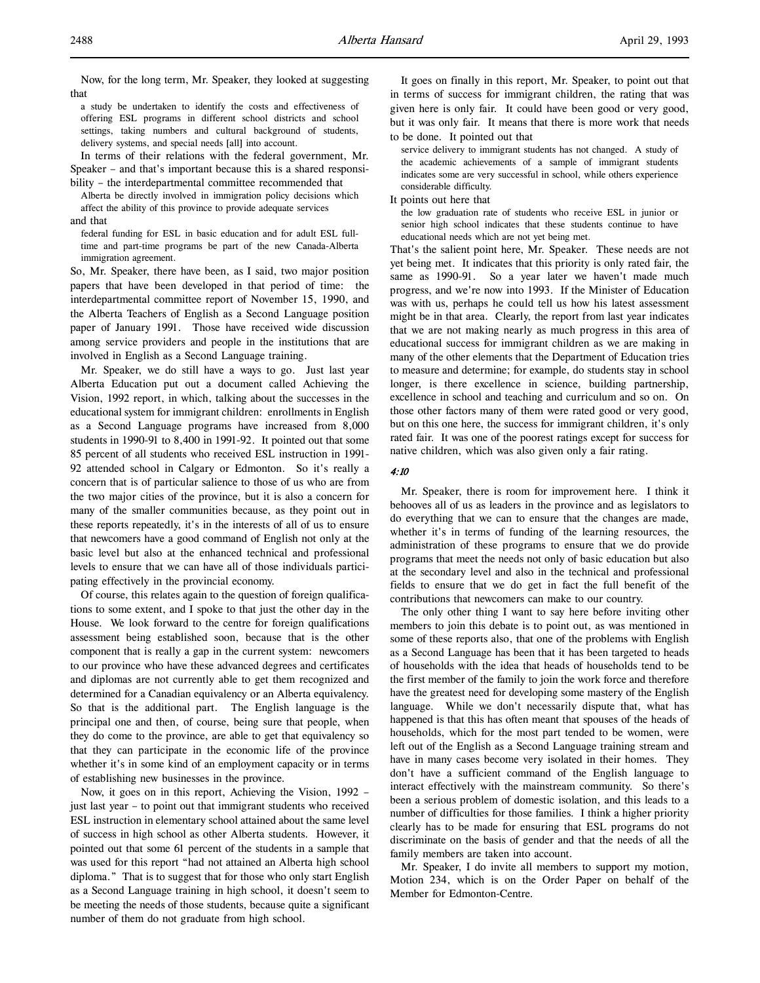Now, for the long term, Mr. Speaker, they looked at suggesting that

a study be undertaken to identify the costs and effectiveness of offering ESL programs in different school districts and school settings, taking numbers and cultural background of students, delivery systems, and special needs [all] into account.

In terms of their relations with the federal government, Mr. Speaker – and that's important because this is a shared responsibility – the interdepartmental committee recommended that

Alberta be directly involved in immigration policy decisions which affect the ability of this province to provide adequate services and that

federal funding for ESL in basic education and for adult ESL fulltime and part-time programs be part of the new Canada-Alberta immigration agreement.

So, Mr. Speaker, there have been, as I said, two major position papers that have been developed in that period of time: the interdepartmental committee report of November 15, 1990, and the Alberta Teachers of English as a Second Language position paper of January 1991. Those have received wide discussion among service providers and people in the institutions that are involved in English as a Second Language training.

Mr. Speaker, we do still have a ways to go. Just last year Alberta Education put out a document called Achieving the Vision, 1992 report, in which, talking about the successes in the educational system for immigrant children: enrollments in English as a Second Language programs have increased from 8,000 students in 1990-91 to 8,400 in 1991-92. It pointed out that some 85 percent of all students who received ESL instruction in 1991- 92 attended school in Calgary or Edmonton. So it's really a concern that is of particular salience to those of us who are from the two major cities of the province, but it is also a concern for many of the smaller communities because, as they point out in these reports repeatedly, it's in the interests of all of us to ensure that newcomers have a good command of English not only at the basic level but also at the enhanced technical and professional levels to ensure that we can have all of those individuals participating effectively in the provincial economy.

Of course, this relates again to the question of foreign qualifications to some extent, and I spoke to that just the other day in the House. We look forward to the centre for foreign qualifications assessment being established soon, because that is the other component that is really a gap in the current system: newcomers to our province who have these advanced degrees and certificates and diplomas are not currently able to get them recognized and determined for a Canadian equivalency or an Alberta equivalency. So that is the additional part. The English language is the principal one and then, of course, being sure that people, when they do come to the province, are able to get that equivalency so that they can participate in the economic life of the province whether it's in some kind of an employment capacity or in terms of establishing new businesses in the province.

Now, it goes on in this report, Achieving the Vision, 1992 – just last year – to point out that immigrant students who received ESL instruction in elementary school attained about the same level of success in high school as other Alberta students. However, it pointed out that some 61 percent of the students in a sample that was used for this report "had not attained an Alberta high school diploma." That is to suggest that for those who only start English as a Second Language training in high school, it doesn't seem to be meeting the needs of those students, because quite a significant number of them do not graduate from high school.

It goes on finally in this report, Mr. Speaker, to point out that in terms of success for immigrant children, the rating that was given here is only fair. It could have been good or very good, but it was only fair. It means that there is more work that needs to be done. It pointed out that

service delivery to immigrant students has not changed. A study of the academic achievements of a sample of immigrant students indicates some are very successful in school, while others experience considerable difficulty.

It points out here that

the low graduation rate of students who receive ESL in junior or senior high school indicates that these students continue to have educational needs which are not yet being met.

That's the salient point here, Mr. Speaker. These needs are not yet being met. It indicates that this priority is only rated fair, the same as 1990-91. So a year later we haven't made much progress, and we're now into 1993. If the Minister of Education was with us, perhaps he could tell us how his latest assessment might be in that area. Clearly, the report from last year indicates that we are not making nearly as much progress in this area of educational success for immigrant children as we are making in many of the other elements that the Department of Education tries to measure and determine; for example, do students stay in school longer, is there excellence in science, building partnership, excellence in school and teaching and curriculum and so on. On those other factors many of them were rated good or very good, but on this one here, the success for immigrant children, it's only rated fair. It was one of the poorest ratings except for success for native children, which was also given only a fair rating.

#### 4:10

Mr. Speaker, there is room for improvement here. I think it behooves all of us as leaders in the province and as legislators to do everything that we can to ensure that the changes are made, whether it's in terms of funding of the learning resources, the administration of these programs to ensure that we do provide programs that meet the needs not only of basic education but also at the secondary level and also in the technical and professional fields to ensure that we do get in fact the full benefit of the contributions that newcomers can make to our country.

The only other thing I want to say here before inviting other members to join this debate is to point out, as was mentioned in some of these reports also, that one of the problems with English as a Second Language has been that it has been targeted to heads of households with the idea that heads of households tend to be the first member of the family to join the work force and therefore have the greatest need for developing some mastery of the English language. While we don't necessarily dispute that, what has happened is that this has often meant that spouses of the heads of households, which for the most part tended to be women, were left out of the English as a Second Language training stream and have in many cases become very isolated in their homes. They don't have a sufficient command of the English language to interact effectively with the mainstream community. So there's been a serious problem of domestic isolation, and this leads to a number of difficulties for those families. I think a higher priority clearly has to be made for ensuring that ESL programs do not discriminate on the basis of gender and that the needs of all the family members are taken into account.

Mr. Speaker, I do invite all members to support my motion, Motion 234, which is on the Order Paper on behalf of the Member for Edmonton-Centre.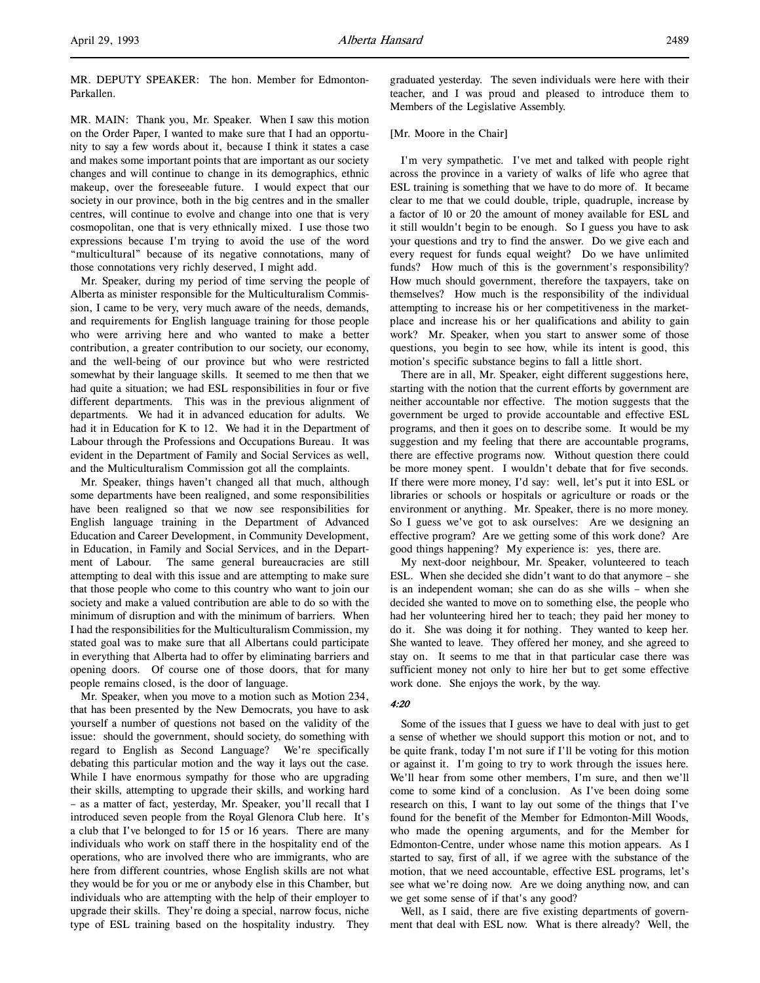MR. DEPUTY SPEAKER: The hon. Member for Edmonton-Parkallen.

MR. MAIN: Thank you, Mr. Speaker. When I saw this motion on the Order Paper, I wanted to make sure that I had an opportunity to say a few words about it, because I think it states a case and makes some important points that are important as our society changes and will continue to change in its demographics, ethnic makeup, over the foreseeable future. I would expect that our society in our province, both in the big centres and in the smaller centres, will continue to evolve and change into one that is very cosmopolitan, one that is very ethnically mixed. I use those two expressions because I'm trying to avoid the use of the word "multicultural" because of its negative connotations, many of those connotations very richly deserved, I might add.

Mr. Speaker, during my period of time serving the people of Alberta as minister responsible for the Multiculturalism Commission, I came to be very, very much aware of the needs, demands, and requirements for English language training for those people who were arriving here and who wanted to make a better contribution, a greater contribution to our society, our economy, and the well-being of our province but who were restricted somewhat by their language skills. It seemed to me then that we had quite a situation; we had ESL responsibilities in four or five different departments. This was in the previous alignment of departments. We had it in advanced education for adults. We had it in Education for K to 12. We had it in the Department of Labour through the Professions and Occupations Bureau. It was evident in the Department of Family and Social Services as well, and the Multiculturalism Commission got all the complaints.

Mr. Speaker, things haven't changed all that much, although some departments have been realigned, and some responsibilities have been realigned so that we now see responsibilities for English language training in the Department of Advanced Education and Career Development, in Community Development, in Education, in Family and Social Services, and in the Department of Labour. The same general bureaucracies are still attempting to deal with this issue and are attempting to make sure that those people who come to this country who want to join our society and make a valued contribution are able to do so with the minimum of disruption and with the minimum of barriers. When I had the responsibilities for the Multiculturalism Commission, my stated goal was to make sure that all Albertans could participate in everything that Alberta had to offer by eliminating barriers and opening doors. Of course one of those doors, that for many people remains closed, is the door of language.

Mr. Speaker, when you move to a motion such as Motion 234, that has been presented by the New Democrats, you have to ask yourself a number of questions not based on the validity of the issue: should the government, should society, do something with regard to English as Second Language? We're specifically debating this particular motion and the way it lays out the case. While I have enormous sympathy for those who are upgrading their skills, attempting to upgrade their skills, and working hard – as a matter of fact, yesterday, Mr. Speaker, you'll recall that I introduced seven people from the Royal Glenora Club here. It's a club that I've belonged to for 15 or 16 years. There are many individuals who work on staff there in the hospitality end of the operations, who are involved there who are immigrants, who are here from different countries, whose English skills are not what they would be for you or me or anybody else in this Chamber, but individuals who are attempting with the help of their employer to upgrade their skills. They're doing a special, narrow focus, niche type of ESL training based on the hospitality industry. They graduated yesterday. The seven individuals were here with their teacher, and I was proud and pleased to introduce them to Members of the Legislative Assembly.

#### [Mr. Moore in the Chair]

I'm very sympathetic. I've met and talked with people right across the province in a variety of walks of life who agree that ESL training is something that we have to do more of. It became clear to me that we could double, triple, quadruple, increase by a factor of 10 or 20 the amount of money available for ESL and it still wouldn't begin to be enough. So I guess you have to ask your questions and try to find the answer. Do we give each and every request for funds equal weight? Do we have unlimited funds? How much of this is the government's responsibility? How much should government, therefore the taxpayers, take on themselves? How much is the responsibility of the individual attempting to increase his or her competitiveness in the marketplace and increase his or her qualifications and ability to gain work? Mr. Speaker, when you start to answer some of those questions, you begin to see how, while its intent is good, this motion's specific substance begins to fall a little short.

There are in all, Mr. Speaker, eight different suggestions here, starting with the notion that the current efforts by government are neither accountable nor effective. The motion suggests that the government be urged to provide accountable and effective ESL programs, and then it goes on to describe some. It would be my suggestion and my feeling that there are accountable programs, there are effective programs now. Without question there could be more money spent. I wouldn't debate that for five seconds. If there were more money, I'd say: well, let's put it into ESL or libraries or schools or hospitals or agriculture or roads or the environment or anything. Mr. Speaker, there is no more money. So I guess we've got to ask ourselves: Are we designing an effective program? Are we getting some of this work done? Are good things happening? My experience is: yes, there are.

My next-door neighbour, Mr. Speaker, volunteered to teach ESL. When she decided she didn't want to do that anymore – she is an independent woman; she can do as she wills – when she decided she wanted to move on to something else, the people who had her volunteering hired her to teach; they paid her money to do it. She was doing it for nothing. They wanted to keep her. She wanted to leave. They offered her money, and she agreed to stay on. It seems to me that in that particular case there was sufficient money not only to hire her but to get some effective work done. She enjoys the work, by the way.

#### 4:20

Some of the issues that I guess we have to deal with just to get a sense of whether we should support this motion or not, and to be quite frank, today I'm not sure if I'll be voting for this motion or against it. I'm going to try to work through the issues here. We'll hear from some other members, I'm sure, and then we'll come to some kind of a conclusion. As I've been doing some research on this, I want to lay out some of the things that I've found for the benefit of the Member for Edmonton-Mill Woods, who made the opening arguments, and for the Member for Edmonton-Centre, under whose name this motion appears. As I started to say, first of all, if we agree with the substance of the motion, that we need accountable, effective ESL programs, let's see what we're doing now. Are we doing anything now, and can we get some sense of if that's any good?

Well, as I said, there are five existing departments of government that deal with ESL now. What is there already? Well, the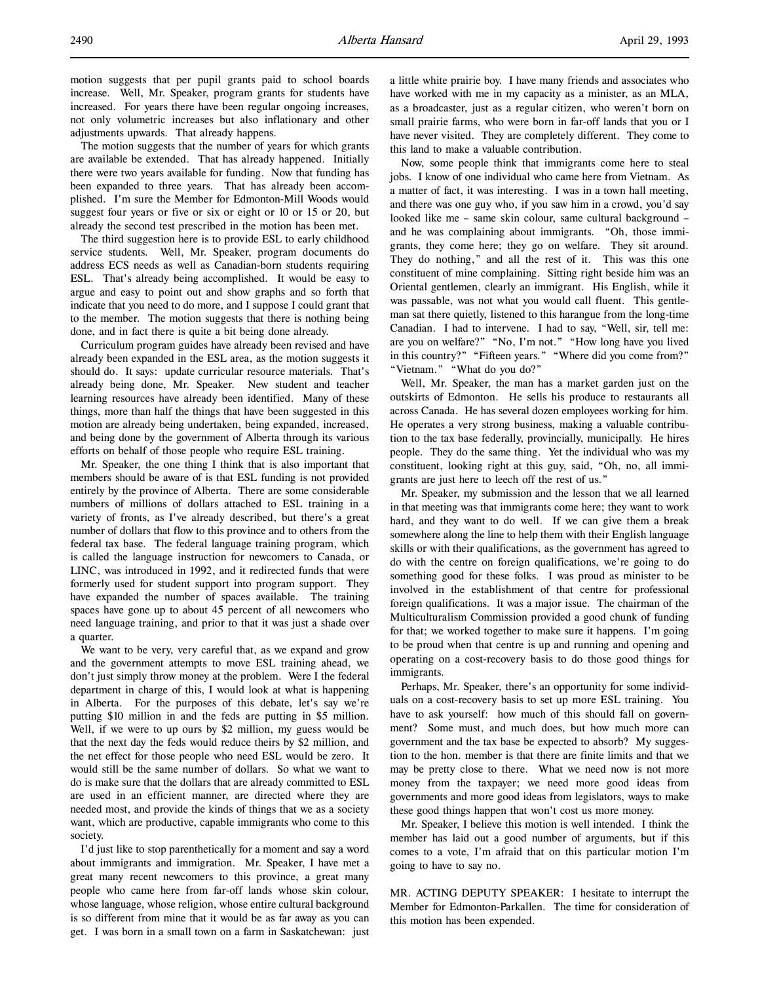motion suggests that per pupil grants paid to school boards increase. Well, Mr. Speaker, program grants for students have increased. For years there have been regular ongoing increases, not only volumetric increases but also inflationary and other adjustments upwards. That already happens.

The motion suggests that the number of years for which grants are available be extended. That has already happened. Initially there were two years available for funding. Now that funding has been expanded to three years. That has already been accomplished. I'm sure the Member for Edmonton-Mill Woods would suggest four years or five or six or eight or 10 or 15 or 20, but already the second test prescribed in the motion has been met.

The third suggestion here is to provide ESL to early childhood service students. Well, Mr. Speaker, program documents do address ECS needs as well as Canadian-born students requiring ESL. That's already being accomplished. It would be easy to argue and easy to point out and show graphs and so forth that indicate that you need to do more, and I suppose I could grant that to the member. The motion suggests that there is nothing being done, and in fact there is quite a bit being done already.

Curriculum program guides have already been revised and have already been expanded in the ESL area, as the motion suggests it should do. It says: update curricular resource materials. That's already being done, Mr. Speaker. New student and teacher learning resources have already been identified. Many of these things, more than half the things that have been suggested in this motion are already being undertaken, being expanded, increased, and being done by the government of Alberta through its various efforts on behalf of those people who require ESL training.

Mr. Speaker, the one thing I think that is also important that members should be aware of is that ESL funding is not provided entirely by the province of Alberta. There are some considerable numbers of millions of dollars attached to ESL training in a variety of fronts, as I've already described, but there's a great number of dollars that flow to this province and to others from the federal tax base. The federal language training program, which is called the language instruction for newcomers to Canada, or LINC, was introduced in 1992, and it redirected funds that were formerly used for student support into program support. They have expanded the number of spaces available. The training spaces have gone up to about 45 percent of all newcomers who need language training, and prior to that it was just a shade over a quarter.

We want to be very, very careful that, as we expand and grow and the government attempts to move ESL training ahead, we don't just simply throw money at the problem. Were I the federal department in charge of this, I would look at what is happening in Alberta. For the purposes of this debate, let's say we're putting \$10 million in and the feds are putting in \$5 million. Well, if we were to up ours by \$2 million, my guess would be that the next day the feds would reduce theirs by \$2 million, and the net effect for those people who need ESL would be zero. It would still be the same number of dollars. So what we want to do is make sure that the dollars that are already committed to ESL are used in an efficient manner, are directed where they are needed most, and provide the kinds of things that we as a society want, which are productive, capable immigrants who come to this society.

I'd just like to stop parenthetically for a moment and say a word about immigrants and immigration. Mr. Speaker, I have met a great many recent newcomers to this province, a great many people who came here from far-off lands whose skin colour, whose language, whose religion, whose entire cultural background is so different from mine that it would be as far away as you can get. I was born in a small town on a farm in Saskatchewan: just

a little white prairie boy. I have many friends and associates who have worked with me in my capacity as a minister, as an MLA, as a broadcaster, just as a regular citizen, who weren't born on small prairie farms, who were born in far-off lands that you or I have never visited. They are completely different. They come to this land to make a valuable contribution.

Now, some people think that immigrants come here to steal jobs. I know of one individual who came here from Vietnam. As a matter of fact, it was interesting. I was in a town hall meeting, and there was one guy who, if you saw him in a crowd, you'd say looked like me – same skin colour, same cultural background – and he was complaining about immigrants. "Oh, those immigrants, they come here; they go on welfare. They sit around. They do nothing," and all the rest of it. This was this one constituent of mine complaining. Sitting right beside him was an Oriental gentlemen, clearly an immigrant. His English, while it was passable, was not what you would call fluent. This gentleman sat there quietly, listened to this harangue from the long-time Canadian. I had to intervene. I had to say, "Well, sir, tell me: are you on welfare?" "No, I'm not." "How long have you lived in this country?" "Fifteen years." "Where did you come from?" "Vietnam." "What do you do?"

Well, Mr. Speaker, the man has a market garden just on the outskirts of Edmonton. He sells his produce to restaurants all across Canada. He has several dozen employees working for him. He operates a very strong business, making a valuable contribution to the tax base federally, provincially, municipally. He hires people. They do the same thing. Yet the individual who was my constituent, looking right at this guy, said, "Oh, no, all immigrants are just here to leech off the rest of us."

Mr. Speaker, my submission and the lesson that we all learned in that meeting was that immigrants come here; they want to work hard, and they want to do well. If we can give them a break somewhere along the line to help them with their English language skills or with their qualifications, as the government has agreed to do with the centre on foreign qualifications, we're going to do something good for these folks. I was proud as minister to be involved in the establishment of that centre for professional foreign qualifications. It was a major issue. The chairman of the Multiculturalism Commission provided a good chunk of funding for that; we worked together to make sure it happens. I'm going to be proud when that centre is up and running and opening and operating on a cost-recovery basis to do those good things for immigrants.

Perhaps, Mr. Speaker, there's an opportunity for some individuals on a cost-recovery basis to set up more ESL training. You have to ask yourself: how much of this should fall on government? Some must, and much does, but how much more can government and the tax base be expected to absorb? My suggestion to the hon. member is that there are finite limits and that we may be pretty close to there. What we need now is not more money from the taxpayer; we need more good ideas from governments and more good ideas from legislators, ways to make these good things happen that won't cost us more money.

Mr. Speaker, I believe this motion is well intended. I think the member has laid out a good number of arguments, but if this comes to a vote, I'm afraid that on this particular motion I'm going to have to say no.

MR. ACTING DEPUTY SPEAKER: I hesitate to interrupt the Member for Edmonton-Parkallen. The time for consideration of this motion has been expended.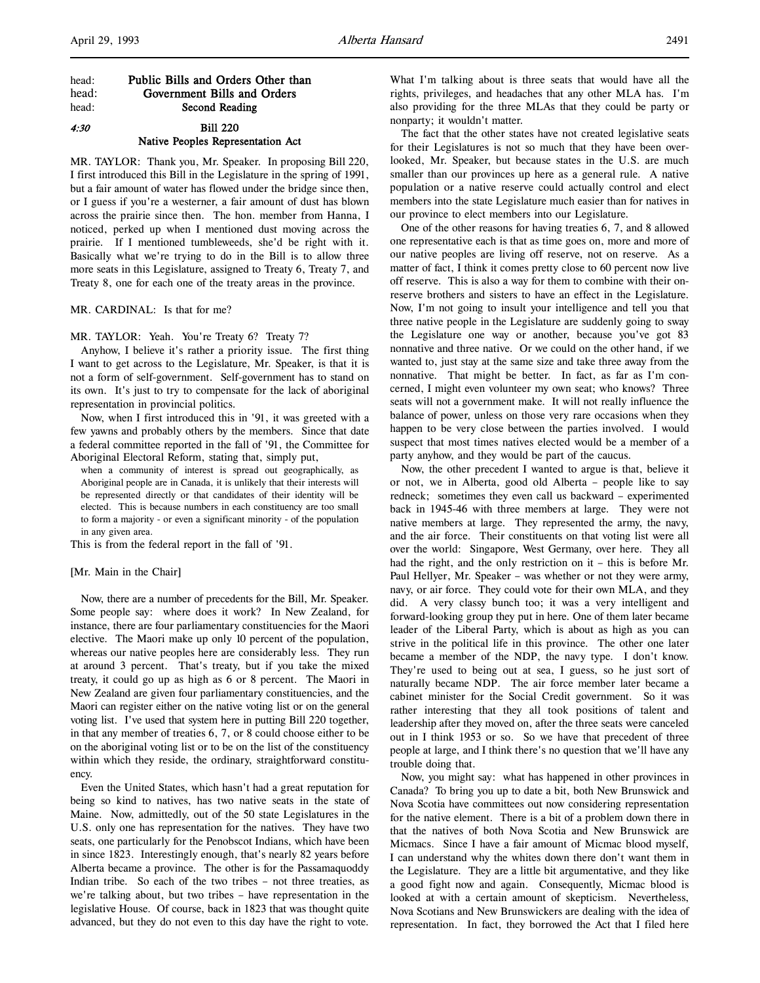## head: Public Bills and Orders Other than head: Government Bills and Orders head: Second Reading

## 4:30 Bill 220 Native Peoples Representation Act

MR. TAYLOR: Thank you, Mr. Speaker. In proposing Bill 220, I first introduced this Bill in the Legislature in the spring of 1991, but a fair amount of water has flowed under the bridge since then, or I guess if you're a westerner, a fair amount of dust has blown across the prairie since then. The hon. member from Hanna, I noticed, perked up when I mentioned dust moving across the prairie. If I mentioned tumbleweeds, she'd be right with it. Basically what we're trying to do in the Bill is to allow three more seats in this Legislature, assigned to Treaty 6, Treaty 7, and Treaty 8, one for each one of the treaty areas in the province.

#### MR. CARDINAL: Is that for me?

MR. TAYLOR: Yeah. You're Treaty 6? Treaty 7?

Anyhow, I believe it's rather a priority issue. The first thing I want to get across to the Legislature, Mr. Speaker, is that it is not a form of self-government. Self-government has to stand on its own. It's just to try to compensate for the lack of aboriginal representation in provincial politics.

Now, when I first introduced this in '91, it was greeted with a few yawns and probably others by the members. Since that date a federal committee reported in the fall of '91, the Committee for Aboriginal Electoral Reform, stating that, simply put,

when a community of interest is spread out geographically, as Aboriginal people are in Canada, it is unlikely that their interests will be represented directly or that candidates of their identity will be elected. This is because numbers in each constituency are too small to form a majority - or even a significant minority - of the population in any given area.

This is from the federal report in the fall of '91.

#### [Mr. Main in the Chair]

Now, there are a number of precedents for the Bill, Mr. Speaker. Some people say: where does it work? In New Zealand, for instance, there are four parliamentary constituencies for the Maori elective. The Maori make up only 10 percent of the population, whereas our native peoples here are considerably less. They run at around 3 percent. That's treaty, but if you take the mixed treaty, it could go up as high as 6 or 8 percent. The Maori in New Zealand are given four parliamentary constituencies, and the Maori can register either on the native voting list or on the general voting list. I've used that system here in putting Bill 220 together, in that any member of treaties 6, 7, or 8 could choose either to be on the aboriginal voting list or to be on the list of the constituency within which they reside, the ordinary, straightforward constituency.

Even the United States, which hasn't had a great reputation for being so kind to natives, has two native seats in the state of Maine. Now, admittedly, out of the 50 state Legislatures in the U.S. only one has representation for the natives. They have two seats, one particularly for the Penobscot Indians, which have been in since 1823. Interestingly enough, that's nearly 82 years before Alberta became a province. The other is for the Passamaquoddy Indian tribe. So each of the two tribes – not three treaties, as we're talking about, but two tribes – have representation in the legislative House. Of course, back in 1823 that was thought quite advanced, but they do not even to this day have the right to vote.

What I'm talking about is three seats that would have all the rights, privileges, and headaches that any other MLA has. I'm also providing for the three MLAs that they could be party or nonparty; it wouldn't matter.

The fact that the other states have not created legislative seats for their Legislatures is not so much that they have been overlooked, Mr. Speaker, but because states in the U.S. are much smaller than our provinces up here as a general rule. A native population or a native reserve could actually control and elect members into the state Legislature much easier than for natives in our province to elect members into our Legislature.

One of the other reasons for having treaties 6, 7, and 8 allowed one representative each is that as time goes on, more and more of our native peoples are living off reserve, not on reserve. As a matter of fact, I think it comes pretty close to 60 percent now live off reserve. This is also a way for them to combine with their onreserve brothers and sisters to have an effect in the Legislature. Now, I'm not going to insult your intelligence and tell you that three native people in the Legislature are suddenly going to sway the Legislature one way or another, because you've got 83 nonnative and three native. Or we could on the other hand, if we wanted to, just stay at the same size and take three away from the nonnative. That might be better. In fact, as far as I'm concerned, I might even volunteer my own seat; who knows? Three seats will not a government make. It will not really influence the balance of power, unless on those very rare occasions when they happen to be very close between the parties involved. I would suspect that most times natives elected would be a member of a party anyhow, and they would be part of the caucus.

Now, the other precedent I wanted to argue is that, believe it or not, we in Alberta, good old Alberta – people like to say redneck; sometimes they even call us backward – experimented back in 1945-46 with three members at large. They were not native members at large. They represented the army, the navy, and the air force. Their constituents on that voting list were all over the world: Singapore, West Germany, over here. They all had the right, and the only restriction on it – this is before Mr. Paul Hellyer, Mr. Speaker – was whether or not they were army, navy, or air force. They could vote for their own MLA, and they did. A very classy bunch too; it was a very intelligent and forward-looking group they put in here. One of them later became leader of the Liberal Party, which is about as high as you can strive in the political life in this province. The other one later became a member of the NDP, the navy type. I don't know. They're used to being out at sea, I guess, so he just sort of naturally became NDP. The air force member later became a cabinet minister for the Social Credit government. So it was rather interesting that they all took positions of talent and leadership after they moved on, after the three seats were canceled out in I think 1953 or so. So we have that precedent of three people at large, and I think there's no question that we'll have any trouble doing that.

Now, you might say: what has happened in other provinces in Canada? To bring you up to date a bit, both New Brunswick and Nova Scotia have committees out now considering representation for the native element. There is a bit of a problem down there in that the natives of both Nova Scotia and New Brunswick are Micmacs. Since I have a fair amount of Micmac blood myself, I can understand why the whites down there don't want them in the Legislature. They are a little bit argumentative, and they like a good fight now and again. Consequently, Micmac blood is looked at with a certain amount of skepticism. Nevertheless, Nova Scotians and New Brunswickers are dealing with the idea of representation. In fact, they borrowed the Act that I filed here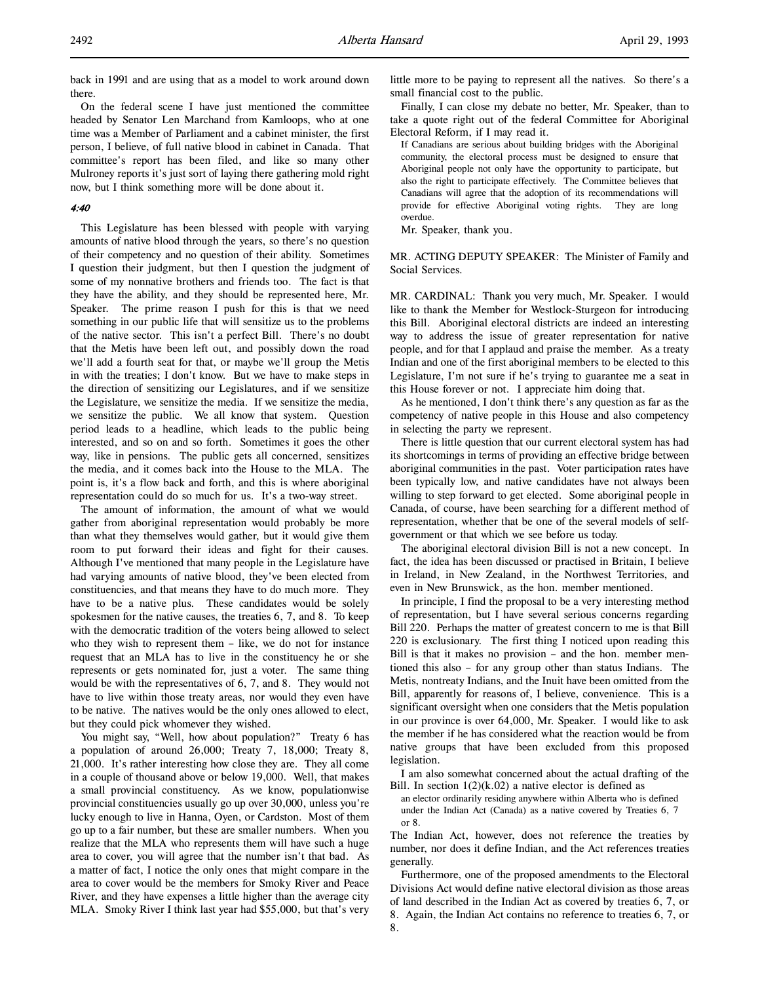back in 1991 and are using that as a model to work around down there.

On the federal scene I have just mentioned the committee headed by Senator Len Marchand from Kamloops, who at one time was a Member of Parliament and a cabinet minister, the first person, I believe, of full native blood in cabinet in Canada. That committee's report has been filed, and like so many other Mulroney reports it's just sort of laying there gathering mold right now, but I think something more will be done about it.

#### 4:40

This Legislature has been blessed with people with varying amounts of native blood through the years, so there's no question of their competency and no question of their ability. Sometimes I question their judgment, but then I question the judgment of some of my nonnative brothers and friends too. The fact is that they have the ability, and they should be represented here, Mr. Speaker. The prime reason I push for this is that we need something in our public life that will sensitize us to the problems of the native sector. This isn't a perfect Bill. There's no doubt that the Metis have been left out, and possibly down the road we'll add a fourth seat for that, or maybe we'll group the Metis in with the treaties; I don't know. But we have to make steps in the direction of sensitizing our Legislatures, and if we sensitize the Legislature, we sensitize the media. If we sensitize the media, we sensitize the public. We all know that system. Question period leads to a headline, which leads to the public being interested, and so on and so forth. Sometimes it goes the other way, like in pensions. The public gets all concerned, sensitizes the media, and it comes back into the House to the MLA. The point is, it's a flow back and forth, and this is where aboriginal representation could do so much for us. It's a two-way street.

The amount of information, the amount of what we would gather from aboriginal representation would probably be more than what they themselves would gather, but it would give them room to put forward their ideas and fight for their causes. Although I've mentioned that many people in the Legislature have had varying amounts of native blood, they've been elected from constituencies, and that means they have to do much more. They have to be a native plus. These candidates would be solely spokesmen for the native causes, the treaties 6, 7, and 8. To keep with the democratic tradition of the voters being allowed to select who they wish to represent them – like, we do not for instance request that an MLA has to live in the constituency he or she represents or gets nominated for, just a voter. The same thing would be with the representatives of 6, 7, and 8. They would not have to live within those treaty areas, nor would they even have to be native. The natives would be the only ones allowed to elect, but they could pick whomever they wished.

You might say, "Well, how about population?" Treaty 6 has a population of around 26,000; Treaty 7, 18,000; Treaty 8, 21,000. It's rather interesting how close they are. They all come in a couple of thousand above or below 19,000. Well, that makes a small provincial constituency. As we know, populationwise provincial constituencies usually go up over 30,000, unless you're lucky enough to live in Hanna, Oyen, or Cardston. Most of them go up to a fair number, but these are smaller numbers. When you realize that the MLA who represents them will have such a huge area to cover, you will agree that the number isn't that bad. As a matter of fact, I notice the only ones that might compare in the area to cover would be the members for Smoky River and Peace River, and they have expenses a little higher than the average city MLA. Smoky River I think last year had \$55,000, but that's very

little more to be paying to represent all the natives. So there's a small financial cost to the public.

Finally, I can close my debate no better, Mr. Speaker, than to take a quote right out of the federal Committee for Aboriginal Electoral Reform, if I may read it.

If Canadians are serious about building bridges with the Aboriginal community, the electoral process must be designed to ensure that Aboriginal people not only have the opportunity to participate, but also the right to participate effectively. The Committee believes that Canadians will agree that the adoption of its recommendations will provide for effective Aboriginal voting rights. They are long overdue.

Mr. Speaker, thank you.

MR. ACTING DEPUTY SPEAKER: The Minister of Family and Social Services.

MR. CARDINAL: Thank you very much, Mr. Speaker. I would like to thank the Member for Westlock-Sturgeon for introducing this Bill. Aboriginal electoral districts are indeed an interesting way to address the issue of greater representation for native people, and for that I applaud and praise the member. As a treaty Indian and one of the first aboriginal members to be elected to this Legislature, I'm not sure if he's trying to guarantee me a seat in this House forever or not. I appreciate him doing that.

As he mentioned, I don't think there's any question as far as the competency of native people in this House and also competency in selecting the party we represent.

There is little question that our current electoral system has had its shortcomings in terms of providing an effective bridge between aboriginal communities in the past. Voter participation rates have been typically low, and native candidates have not always been willing to step forward to get elected. Some aboriginal people in Canada, of course, have been searching for a different method of representation, whether that be one of the several models of selfgovernment or that which we see before us today.

The aboriginal electoral division Bill is not a new concept. In fact, the idea has been discussed or practised in Britain, I believe in Ireland, in New Zealand, in the Northwest Territories, and even in New Brunswick, as the hon. member mentioned.

In principle, I find the proposal to be a very interesting method of representation, but I have several serious concerns regarding Bill 220. Perhaps the matter of greatest concern to me is that Bill 220 is exclusionary. The first thing I noticed upon reading this Bill is that it makes no provision – and the hon. member mentioned this also – for any group other than status Indians. The Metis, nontreaty Indians, and the Inuit have been omitted from the Bill, apparently for reasons of, I believe, convenience. This is a significant oversight when one considers that the Metis population in our province is over 64,000, Mr. Speaker. I would like to ask the member if he has considered what the reaction would be from native groups that have been excluded from this proposed legislation.

I am also somewhat concerned about the actual drafting of the Bill. In section  $1(2)(k.02)$  a native elector is defined as

an elector ordinarily residing anywhere within Alberta who is defined under the Indian Act (Canada) as a native covered by Treaties 6, 7 or 8.

The Indian Act, however, does not reference the treaties by number, nor does it define Indian, and the Act references treaties generally.

Furthermore, one of the proposed amendments to the Electoral Divisions Act would define native electoral division as those areas of land described in the Indian Act as covered by treaties 6, 7, or 8. Again, the Indian Act contains no reference to treaties 6, 7, or 8.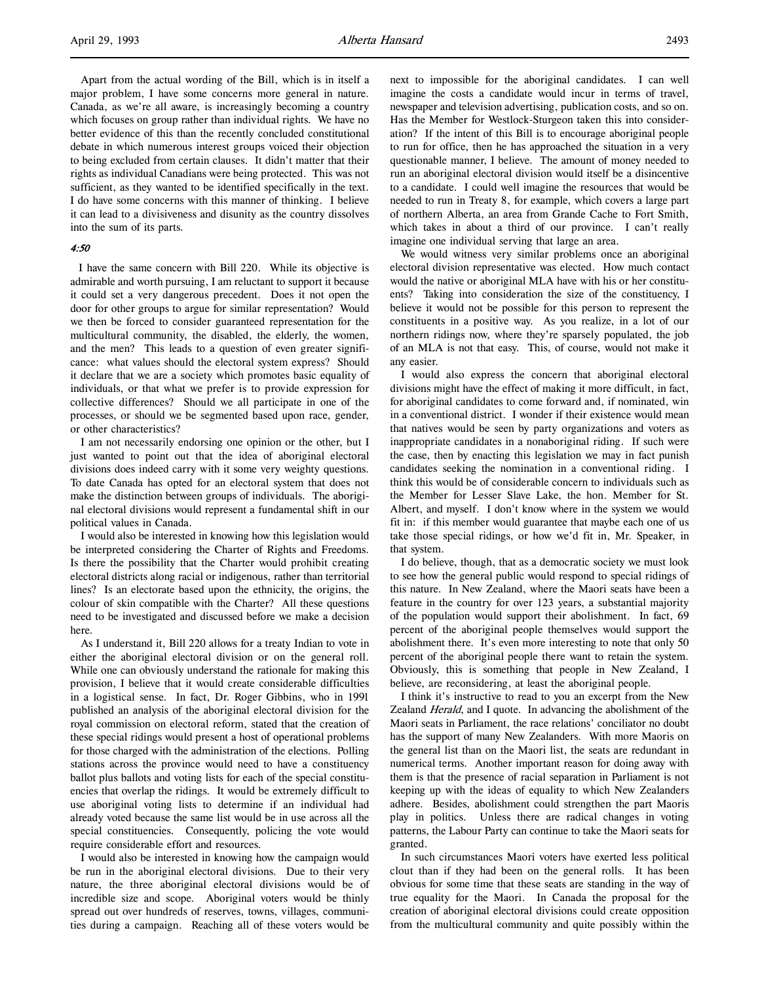Apart from the actual wording of the Bill, which is in itself a major problem, I have some concerns more general in nature. Canada, as we're all aware, is increasingly becoming a country which focuses on group rather than individual rights. We have no better evidence of this than the recently concluded constitutional debate in which numerous interest groups voiced their objection to being excluded from certain clauses. It didn't matter that their rights as individual Canadians were being protected. This was not sufficient, as they wanted to be identified specifically in the text. I do have some concerns with this manner of thinking. I believe it can lead to a divisiveness and disunity as the country dissolves into the sum of its parts.

#### 4:50

 I have the same concern with Bill 220. While its objective is admirable and worth pursuing, I am reluctant to support it because it could set a very dangerous precedent. Does it not open the door for other groups to argue for similar representation? Would we then be forced to consider guaranteed representation for the multicultural community, the disabled, the elderly, the women, and the men? This leads to a question of even greater significance: what values should the electoral system express? Should it declare that we are a society which promotes basic equality of individuals, or that what we prefer is to provide expression for collective differences? Should we all participate in one of the processes, or should we be segmented based upon race, gender, or other characteristics?

I am not necessarily endorsing one opinion or the other, but I just wanted to point out that the idea of aboriginal electoral divisions does indeed carry with it some very weighty questions. To date Canada has opted for an electoral system that does not make the distinction between groups of individuals. The aboriginal electoral divisions would represent a fundamental shift in our political values in Canada.

I would also be interested in knowing how this legislation would be interpreted considering the Charter of Rights and Freedoms. Is there the possibility that the Charter would prohibit creating electoral districts along racial or indigenous, rather than territorial lines? Is an electorate based upon the ethnicity, the origins, the colour of skin compatible with the Charter? All these questions need to be investigated and discussed before we make a decision here.

As I understand it, Bill 220 allows for a treaty Indian to vote in either the aboriginal electoral division or on the general roll. While one can obviously understand the rationale for making this provision, I believe that it would create considerable difficulties in a logistical sense. In fact, Dr. Roger Gibbins, who in 1991 published an analysis of the aboriginal electoral division for the royal commission on electoral reform, stated that the creation of these special ridings would present a host of operational problems for those charged with the administration of the elections. Polling stations across the province would need to have a constituency ballot plus ballots and voting lists for each of the special constituencies that overlap the ridings. It would be extremely difficult to use aboriginal voting lists to determine if an individual had already voted because the same list would be in use across all the special constituencies. Consequently, policing the vote would require considerable effort and resources.

I would also be interested in knowing how the campaign would be run in the aboriginal electoral divisions. Due to their very nature, the three aboriginal electoral divisions would be of incredible size and scope. Aboriginal voters would be thinly spread out over hundreds of reserves, towns, villages, communities during a campaign. Reaching all of these voters would be

next to impossible for the aboriginal candidates. I can well imagine the costs a candidate would incur in terms of travel, newspaper and television advertising, publication costs, and so on. Has the Member for Westlock-Sturgeon taken this into consideration? If the intent of this Bill is to encourage aboriginal people to run for office, then he has approached the situation in a very questionable manner, I believe. The amount of money needed to run an aboriginal electoral division would itself be a disincentive to a candidate. I could well imagine the resources that would be needed to run in Treaty 8, for example, which covers a large part of northern Alberta, an area from Grande Cache to Fort Smith, which takes in about a third of our province. I can't really imagine one individual serving that large an area.

We would witness very similar problems once an aboriginal electoral division representative was elected. How much contact would the native or aboriginal MLA have with his or her constituents? Taking into consideration the size of the constituency, I believe it would not be possible for this person to represent the constituents in a positive way. As you realize, in a lot of our northern ridings now, where they're sparsely populated, the job of an MLA is not that easy. This, of course, would not make it any easier.

I would also express the concern that aboriginal electoral divisions might have the effect of making it more difficult, in fact, for aboriginal candidates to come forward and, if nominated, win in a conventional district. I wonder if their existence would mean that natives would be seen by party organizations and voters as inappropriate candidates in a nonaboriginal riding. If such were the case, then by enacting this legislation we may in fact punish candidates seeking the nomination in a conventional riding. I think this would be of considerable concern to individuals such as the Member for Lesser Slave Lake, the hon. Member for St. Albert, and myself. I don't know where in the system we would fit in: if this member would guarantee that maybe each one of us take those special ridings, or how we'd fit in, Mr. Speaker, in that system.

I do believe, though, that as a democratic society we must look to see how the general public would respond to special ridings of this nature. In New Zealand, where the Maori seats have been a feature in the country for over 123 years, a substantial majority of the population would support their abolishment. In fact, 69 percent of the aboriginal people themselves would support the abolishment there. It's even more interesting to note that only 50 percent of the aboriginal people there want to retain the system. Obviously, this is something that people in New Zealand, I believe, are reconsidering, at least the aboriginal people.

I think it's instructive to read to you an excerpt from the New Zealand Herald, and I quote. In advancing the abolishment of the Maori seats in Parliament, the race relations' conciliator no doubt has the support of many New Zealanders. With more Maoris on the general list than on the Maori list, the seats are redundant in numerical terms. Another important reason for doing away with them is that the presence of racial separation in Parliament is not keeping up with the ideas of equality to which New Zealanders adhere. Besides, abolishment could strengthen the part Maoris play in politics. Unless there are radical changes in voting patterns, the Labour Party can continue to take the Maori seats for granted.

In such circumstances Maori voters have exerted less political clout than if they had been on the general rolls. It has been obvious for some time that these seats are standing in the way of true equality for the Maori. In Canada the proposal for the creation of aboriginal electoral divisions could create opposition from the multicultural community and quite possibly within the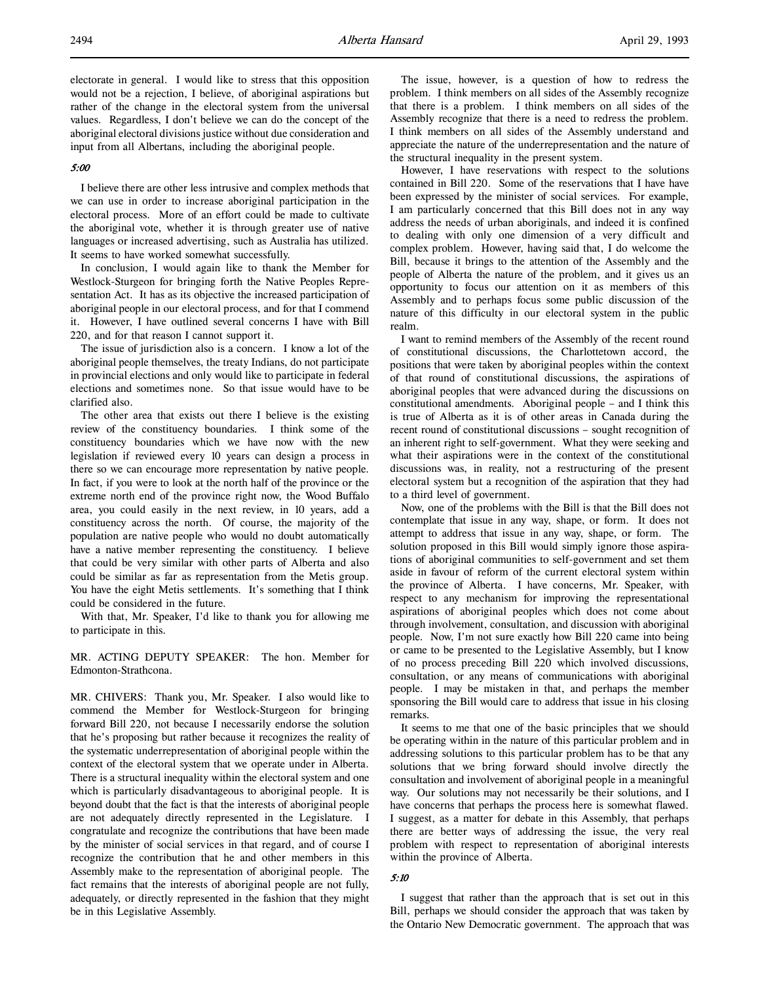electorate in general. I would like to stress that this opposition would not be a rejection, I believe, of aboriginal aspirations but rather of the change in the electoral system from the universal values. Regardless, I don't believe we can do the concept of the aboriginal electoral divisions justice without due consideration and input from all Albertans, including the aboriginal people.

#### 5:00

I believe there are other less intrusive and complex methods that we can use in order to increase aboriginal participation in the electoral process. More of an effort could be made to cultivate the aboriginal vote, whether it is through greater use of native languages or increased advertising, such as Australia has utilized. It seems to have worked somewhat successfully.

In conclusion, I would again like to thank the Member for Westlock-Sturgeon for bringing forth the Native Peoples Representation Act. It has as its objective the increased participation of aboriginal people in our electoral process, and for that I commend it. However, I have outlined several concerns I have with Bill 220, and for that reason I cannot support it.

The issue of jurisdiction also is a concern. I know a lot of the aboriginal people themselves, the treaty Indians, do not participate in provincial elections and only would like to participate in federal elections and sometimes none. So that issue would have to be clarified also.

The other area that exists out there I believe is the existing review of the constituency boundaries. I think some of the constituency boundaries which we have now with the new legislation if reviewed every 10 years can design a process in there so we can encourage more representation by native people. In fact, if you were to look at the north half of the province or the extreme north end of the province right now, the Wood Buffalo area, you could easily in the next review, in 10 years, add a constituency across the north. Of course, the majority of the population are native people who would no doubt automatically have a native member representing the constituency. I believe that could be very similar with other parts of Alberta and also could be similar as far as representation from the Metis group. You have the eight Metis settlements. It's something that I think could be considered in the future.

With that, Mr. Speaker, I'd like to thank you for allowing me to participate in this.

MR. ACTING DEPUTY SPEAKER: The hon. Member for Edmonton-Strathcona.

MR. CHIVERS: Thank you, Mr. Speaker. I also would like to commend the Member for Westlock-Sturgeon for bringing forward Bill 220, not because I necessarily endorse the solution that he's proposing but rather because it recognizes the reality of the systematic underrepresentation of aboriginal people within the context of the electoral system that we operate under in Alberta. There is a structural inequality within the electoral system and one which is particularly disadvantageous to aboriginal people. It is beyond doubt that the fact is that the interests of aboriginal people are not adequately directly represented in the Legislature. I congratulate and recognize the contributions that have been made by the minister of social services in that regard, and of course I recognize the contribution that he and other members in this Assembly make to the representation of aboriginal people. The fact remains that the interests of aboriginal people are not fully, adequately, or directly represented in the fashion that they might be in this Legislative Assembly.

The issue, however, is a question of how to redress the problem. I think members on all sides of the Assembly recognize that there is a problem. I think members on all sides of the Assembly recognize that there is a need to redress the problem. I think members on all sides of the Assembly understand and appreciate the nature of the underrepresentation and the nature of the structural inequality in the present system.

However, I have reservations with respect to the solutions contained in Bill 220. Some of the reservations that I have have been expressed by the minister of social services. For example, I am particularly concerned that this Bill does not in any way address the needs of urban aboriginals, and indeed it is confined to dealing with only one dimension of a very difficult and complex problem. However, having said that, I do welcome the Bill, because it brings to the attention of the Assembly and the people of Alberta the nature of the problem, and it gives us an opportunity to focus our attention on it as members of this Assembly and to perhaps focus some public discussion of the nature of this difficulty in our electoral system in the public realm.

I want to remind members of the Assembly of the recent round of constitutional discussions, the Charlottetown accord, the positions that were taken by aboriginal peoples within the context of that round of constitutional discussions, the aspirations of aboriginal peoples that were advanced during the discussions on constitutional amendments. Aboriginal people – and I think this is true of Alberta as it is of other areas in Canada during the recent round of constitutional discussions – sought recognition of an inherent right to self-government. What they were seeking and what their aspirations were in the context of the constitutional discussions was, in reality, not a restructuring of the present electoral system but a recognition of the aspiration that they had to a third level of government.

Now, one of the problems with the Bill is that the Bill does not contemplate that issue in any way, shape, or form. It does not attempt to address that issue in any way, shape, or form. The solution proposed in this Bill would simply ignore those aspirations of aboriginal communities to self-government and set them aside in favour of reform of the current electoral system within the province of Alberta. I have concerns, Mr. Speaker, with respect to any mechanism for improving the representational aspirations of aboriginal peoples which does not come about through involvement, consultation, and discussion with aboriginal people. Now, I'm not sure exactly how Bill 220 came into being or came to be presented to the Legislative Assembly, but I know of no process preceding Bill 220 which involved discussions, consultation, or any means of communications with aboriginal people. I may be mistaken in that, and perhaps the member sponsoring the Bill would care to address that issue in his closing remarks.

It seems to me that one of the basic principles that we should be operating within in the nature of this particular problem and in addressing solutions to this particular problem has to be that any solutions that we bring forward should involve directly the consultation and involvement of aboriginal people in a meaningful way. Our solutions may not necessarily be their solutions, and I have concerns that perhaps the process here is somewhat flawed. I suggest, as a matter for debate in this Assembly, that perhaps there are better ways of addressing the issue, the very real problem with respect to representation of aboriginal interests within the province of Alberta.

#### 5:10

I suggest that rather than the approach that is set out in this Bill, perhaps we should consider the approach that was taken by the Ontario New Democratic government. The approach that was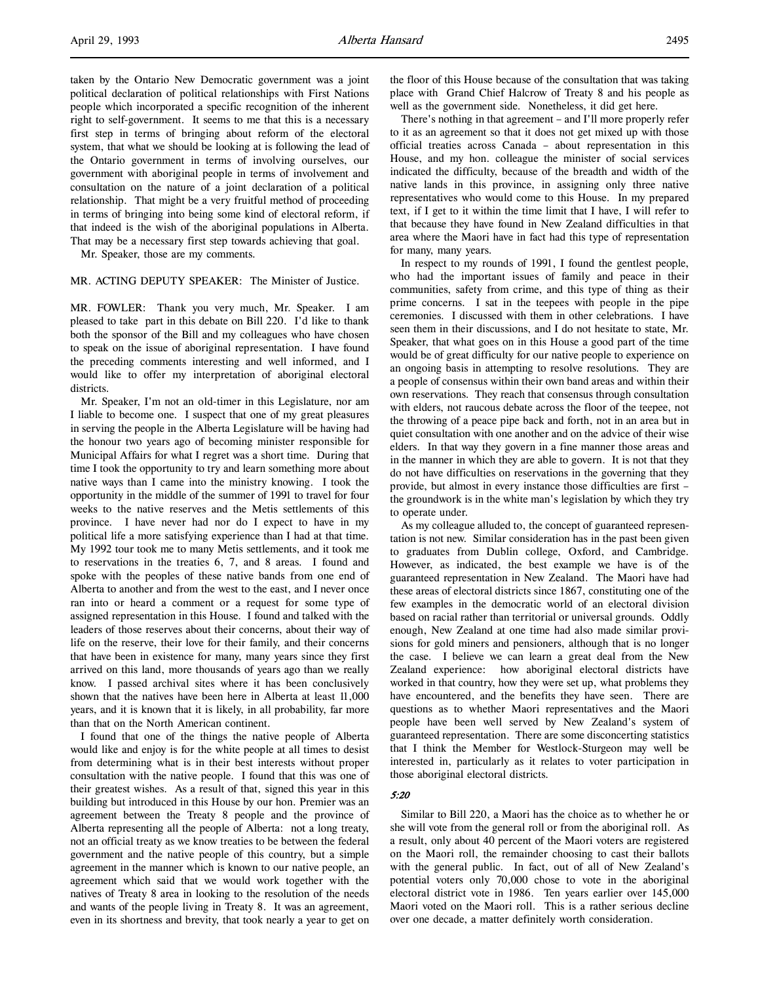people which incorporated a specific recognition of the inherent right to self-government. It seems to me that this is a necessary first step in terms of bringing about reform of the electoral system, that what we should be looking at is following the lead of the Ontario government in terms of involving ourselves, our government with aboriginal people in terms of involvement and consultation on the nature of a joint declaration of a political relationship. That might be a very fruitful method of proceeding in terms of bringing into being some kind of electoral reform, if that indeed is the wish of the aboriginal populations in Alberta. That may be a necessary first step towards achieving that goal.

Mr. Speaker, those are my comments.

#### MR. ACTING DEPUTY SPEAKER: The Minister of Justice.

MR. FOWLER: Thank you very much, Mr. Speaker. I am pleased to take part in this debate on Bill 220. I'd like to thank both the sponsor of the Bill and my colleagues who have chosen to speak on the issue of aboriginal representation. I have found the preceding comments interesting and well informed, and I would like to offer my interpretation of aboriginal electoral districts.

Mr. Speaker, I'm not an old-timer in this Legislature, nor am I liable to become one. I suspect that one of my great pleasures in serving the people in the Alberta Legislature will be having had the honour two years ago of becoming minister responsible for Municipal Affairs for what I regret was a short time. During that time I took the opportunity to try and learn something more about native ways than I came into the ministry knowing. I took the opportunity in the middle of the summer of 1991 to travel for four weeks to the native reserves and the Metis settlements of this province. I have never had nor do I expect to have in my political life a more satisfying experience than I had at that time. My 1992 tour took me to many Metis settlements, and it took me to reservations in the treaties 6, 7, and 8 areas. I found and spoke with the peoples of these native bands from one end of Alberta to another and from the west to the east, and I never once ran into or heard a comment or a request for some type of assigned representation in this House. I found and talked with the leaders of those reserves about their concerns, about their way of life on the reserve, their love for their family, and their concerns that have been in existence for many, many years since they first arrived on this land, more thousands of years ago than we really know. I passed archival sites where it has been conclusively shown that the natives have been here in Alberta at least 11,000 years, and it is known that it is likely, in all probability, far more than that on the North American continent.

I found that one of the things the native people of Alberta would like and enjoy is for the white people at all times to desist from determining what is in their best interests without proper consultation with the native people. I found that this was one of their greatest wishes. As a result of that, signed this year in this building but introduced in this House by our hon. Premier was an agreement between the Treaty 8 people and the province of Alberta representing all the people of Alberta: not a long treaty, not an official treaty as we know treaties to be between the federal government and the native people of this country, but a simple agreement in the manner which is known to our native people, an agreement which said that we would work together with the natives of Treaty 8 area in looking to the resolution of the needs and wants of the people living in Treaty 8. It was an agreement, even in its shortness and brevity, that took nearly a year to get on

the floor of this House because of the consultation that was taking place with Grand Chief Halcrow of Treaty 8 and his people as well as the government side. Nonetheless, it did get here.

There's nothing in that agreement – and I'll more properly refer to it as an agreement so that it does not get mixed up with those official treaties across Canada – about representation in this House, and my hon. colleague the minister of social services indicated the difficulty, because of the breadth and width of the native lands in this province, in assigning only three native representatives who would come to this House. In my prepared text, if I get to it within the time limit that I have, I will refer to that because they have found in New Zealand difficulties in that area where the Maori have in fact had this type of representation for many, many years.

In respect to my rounds of 1991, I found the gentlest people, who had the important issues of family and peace in their communities, safety from crime, and this type of thing as their prime concerns. I sat in the teepees with people in the pipe ceremonies. I discussed with them in other celebrations. I have seen them in their discussions, and I do not hesitate to state, Mr. Speaker, that what goes on in this House a good part of the time would be of great difficulty for our native people to experience on an ongoing basis in attempting to resolve resolutions. They are a people of consensus within their own band areas and within their own reservations. They reach that consensus through consultation with elders, not raucous debate across the floor of the teepee, not the throwing of a peace pipe back and forth, not in an area but in quiet consultation with one another and on the advice of their wise elders. In that way they govern in a fine manner those areas and in the manner in which they are able to govern. It is not that they do not have difficulties on reservations in the governing that they provide, but almost in every instance those difficulties are first – the groundwork is in the white man's legislation by which they try to operate under.

As my colleague alluded to, the concept of guaranteed representation is not new. Similar consideration has in the past been given to graduates from Dublin college, Oxford, and Cambridge. However, as indicated, the best example we have is of the guaranteed representation in New Zealand. The Maori have had these areas of electoral districts since 1867, constituting one of the few examples in the democratic world of an electoral division based on racial rather than territorial or universal grounds. Oddly enough, New Zealand at one time had also made similar provisions for gold miners and pensioners, although that is no longer the case. I believe we can learn a great deal from the New Zealand experience: how aboriginal electoral districts have worked in that country, how they were set up, what problems they have encountered, and the benefits they have seen. There are questions as to whether Maori representatives and the Maori people have been well served by New Zealand's system of guaranteed representation. There are some disconcerting statistics that I think the Member for Westlock-Sturgeon may well be interested in, particularly as it relates to voter participation in those aboriginal electoral districts.

#### 5:20

Similar to Bill 220, a Maori has the choice as to whether he or she will vote from the general roll or from the aboriginal roll. As a result, only about 40 percent of the Maori voters are registered on the Maori roll, the remainder choosing to cast their ballots with the general public. In fact, out of all of New Zealand's potential voters only 70,000 chose to vote in the aboriginal electoral district vote in 1986. Ten years earlier over 145,000 Maori voted on the Maori roll. This is a rather serious decline over one decade, a matter definitely worth consideration.